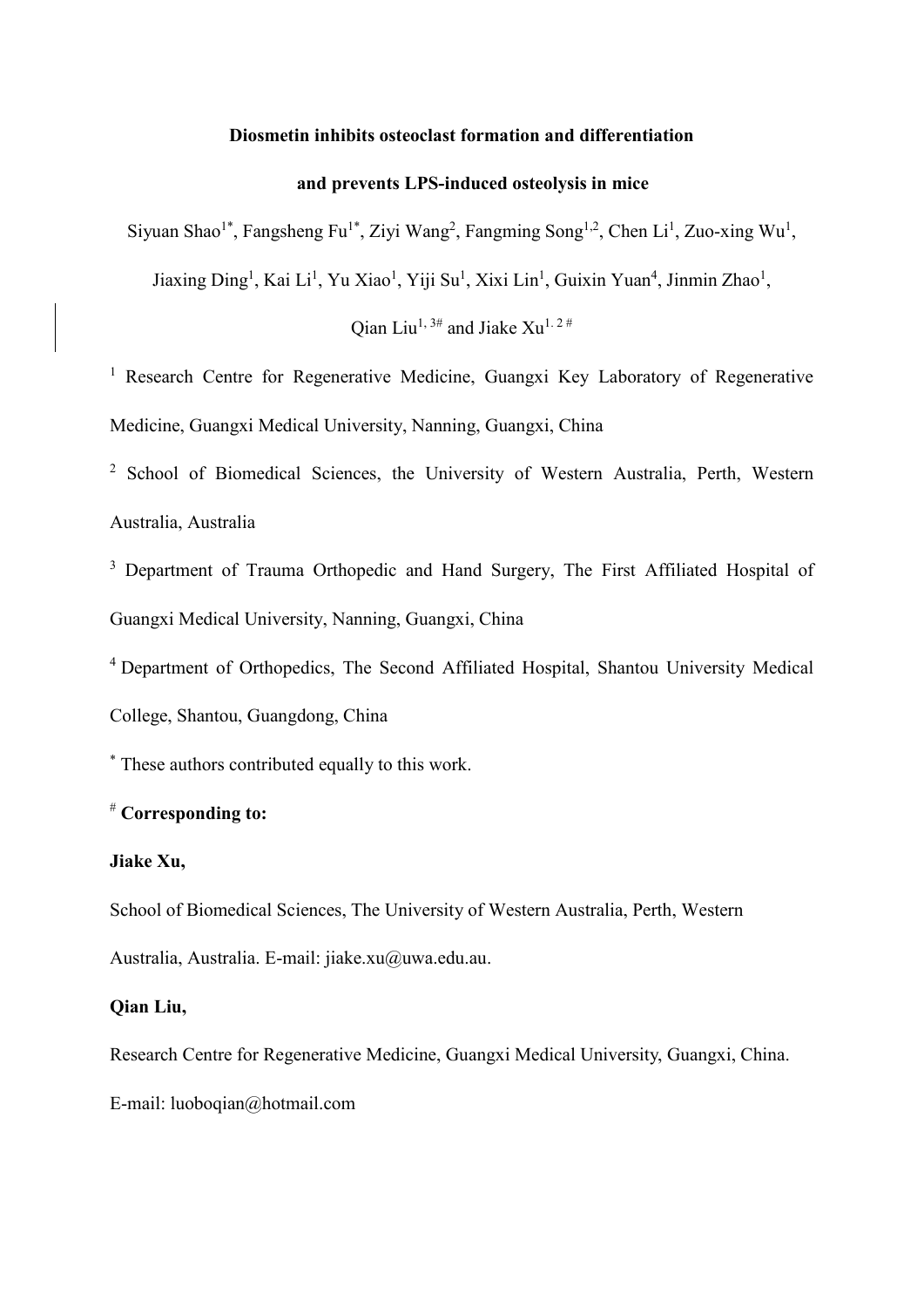# **Diosmetin inhibits osteoclast formation and differentiation**

# **and prevents LPS-induced osteolysis in mice**

Siyuan Shao<sup>1\*</sup>, Fangsheng Fu<sup>1\*</sup>, Ziyi Wang<sup>2</sup>, Fangming Song<sup>1,2</sup>, Chen Li<sup>1</sup>, Zuo-xing Wu<sup>1</sup>,

Jiaxing Ding<sup>1</sup>, Kai Li<sup>1</sup>, Yu Xiao<sup>1</sup>, Yiji Su<sup>1</sup>, Xixi Lin<sup>1</sup>, Guixin Yuan<sup>4</sup>, Jinmin Zhao<sup>1</sup>,

Oian Liu<sup>1, 3#</sup> and Jiake Xu<sup>1, 2#</sup>

<sup>1</sup> Research Centre for Regenerative Medicine, Guangxi Key Laboratory of Regenerative Medicine, Guangxi Medical University, Nanning, Guangxi, China

<sup>2</sup> School of Biomedical Sciences, the University of Western Australia, Perth, Western Australia, Australia

<sup>3</sup> Department of Trauma Orthopedic and Hand Surgery, The First Affiliated Hospital of Guangxi Medical University, Nanning, Guangxi, China

4 Department of Orthopedics, The Second Affiliated Hospital, Shantou University Medical College, Shantou, Guangdong, China

\* These authors contributed equally to this work.

# # **Corresponding to:**

# **Jiake Xu,**

School of Biomedical Sciences, The University of Western Australia, Perth, Western Australia, Australia. E-mail: jiake.xu@uwa.edu.au.

# **Qian Liu,**

Research Centre for Regenerative Medicine, Guangxi Medical University, Guangxi, China. E-mail: luoboqian@hotmail.com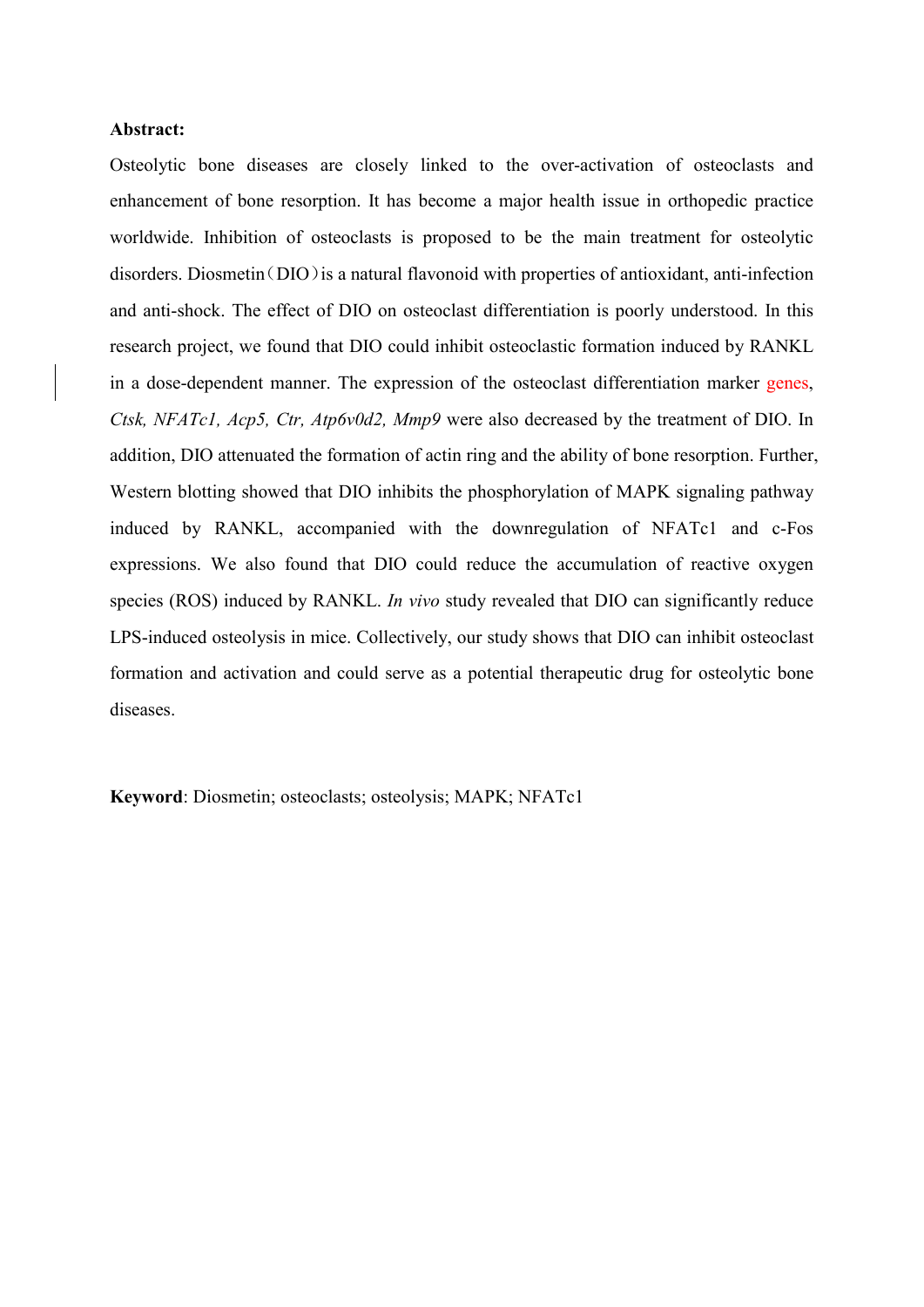## **Abstract:**

Osteolytic bone diseases are closely linked to the over-activation of osteoclasts and enhancement of bone resorption. It has become a major health issue in orthopedic practice worldwide. Inhibition of osteoclasts is proposed to be the main treatment for osteolytic disorders. Diosmetin ( $DIO$ ) is a natural flavonoid with properties of antioxidant, anti-infection and anti-shock. The effect of DIO on osteoclast differentiation is poorly understood. In this research project, we found that DIO could inhibit osteoclastic formation induced by RANKL in a dose-dependent manner. The expression of the osteoclast differentiation marker genes, *Ctsk, NFATc1, Acp5, Ctr, Atp6v0d2, Mmp9* were also decreased by the treatment of DIO. In addition, DIO attenuated the formation of actin ring and the ability of bone resorption. Further, Western blotting showed that DIO inhibits the phosphorylation of MAPK signaling pathway induced by RANKL, accompanied with the downregulation of NFATc1 and c-Fos expressions. We also found that DIO could reduce the accumulation of reactive oxygen species (ROS) induced by RANKL. *In vivo* study revealed that DIO can significantly reduce LPS-induced osteolysis in mice. Collectively, our study shows that DIO can inhibit osteoclast formation and activation and could serve as a potential therapeutic drug for osteolytic bone diseases.

**Keyword**: Diosmetin; osteoclasts; osteolysis; MAPK; NFATc1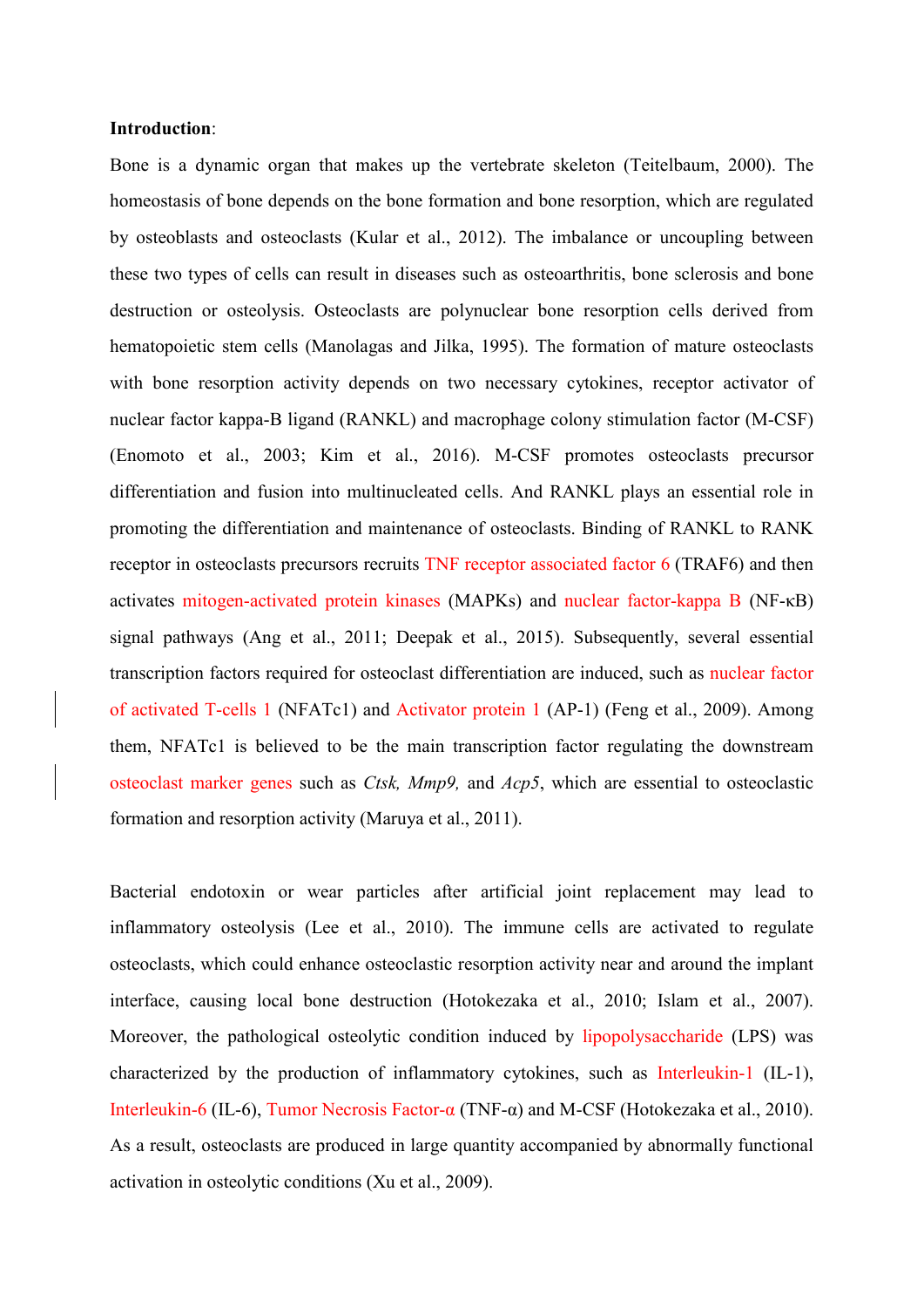# **Introduction**:

Bone is a dynamic organ that makes up the vertebrate skeleton [\(Teitelbaum, 2000\)](#page-16-0). The homeostasis of bone depends on the bone formation and bone resorption, which are regulated by osteoblasts and osteoclasts [\(Kular et al., 2012\)](#page-15-0). The imbalance or uncoupling between these two types of cells can result in diseases such as osteoarthritis, bone sclerosis and bone destruction or osteolysis. Osteoclasts are polynuclear bone resorption cells derived from hematopoietic stem cells [\(Manolagas and Jilka, 1995\)](#page-15-1). The formation of mature osteoclasts with bone resorption activity depends on two necessary cytokines, receptor activator of nuclear factor kappa-B ligand (RANKL) and macrophage colony stimulation factor (M-CSF) [\(Enomoto et al., 2003;](#page-14-0) [Kim et al., 2016\)](#page-15-2). M-CSF promotes osteoclasts precursor differentiation and fusion into multinucleated cells. And RANKL plays an essential role in promoting the differentiation and maintenance of osteoclasts. Binding of RANKL to RANK receptor in osteoclasts precursors recruits TNF receptor associated factor 6 (TRAF6) and then activates mitogen-activated protein kinases (MAPKs) and nuclear factor-kappa B (NF-κB) signal pathways [\(Ang et al., 2011;](#page-13-0) [Deepak et al., 2015\)](#page-14-1). Subsequently, several essential transcription factors required for osteoclast differentiation are induced, such as nuclear factor of activated T-cells 1 (NFATc1) and Activator protein 1 (AP-1) [\(Feng et al., 2009\)](#page-14-2). Among them, NFATc1 is believed to be the main transcription factor regulating the downstream osteoclast marker genes such as *Ctsk, Mmp9,* and *Acp5*, which are essential to osteoclastic formation and resorption activity [\(Maruya et al., 2011\)](#page-15-3).

Bacterial endotoxin or wear particles after artificial joint replacement may lead to inflammatory osteolysis [\(Lee et al., 2010\)](#page-15-4). The immune cells are activated to regulate osteoclasts, which could enhance osteoclastic resorption activity near and around the implant interface, causing local bone destruction [\(Hotokezaka et al., 2010;](#page-14-3) [Islam et al., 2007\)](#page-14-4). Moreover, the pathological osteolytic condition induced by lipopolysaccharide (LPS) was characterized by the production of inflammatory cytokines, such as Interleukin-1 (IL-1), Interleukin-6 (IL-6), Tumor Necrosis Factor-α (TNF-α) and M-CSF [\(Hotokezaka et al., 2010\)](#page-14-3). As a result, osteoclasts are produced in large quantity accompanied by abnormally functional activation in osteolytic conditions [\(Xu et al., 2009\)](#page-16-1).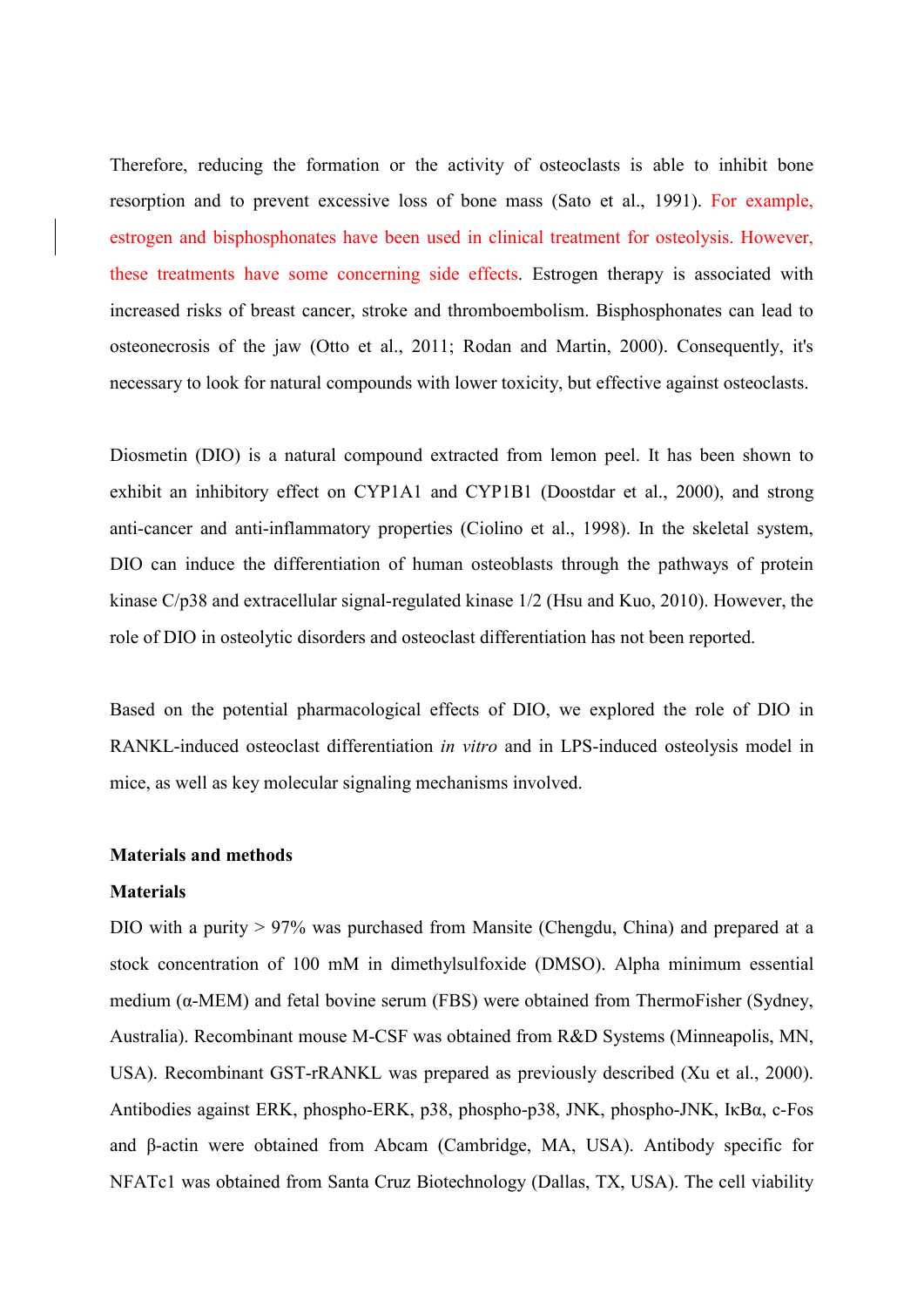Therefore, reducing the formation or the activity of osteoclasts is able to inhibit bone resorption and to prevent excessive loss of bone mass [\(Sato et al., 1991\)](#page-15-5). For example, estrogen and bisphosphonates have been used in clinical treatment for osteolysis. However, these treatments have some concerning side effects. Estrogen therapy is associated with increased risks of breast cancer, stroke and thromboembolism. Bisphosphonates can lead to osteonecrosis of the jaw [\(Otto et al., 2011;](#page-15-6) [Rodan and Martin, 2000\)](#page-15-7). Consequently, it's necessary to look for natural compounds with lower toxicity, but effective against osteoclasts.

Diosmetin (DIO) is a natural compound extracted from lemon peel. It has been shown to exhibit an inhibitory effect on CYP1A1 and CYP1B1 [\(Doostdar et al., 2000\)](#page-14-5), and strong anti-cancer and anti-inflammatory properties [\(Ciolino et al., 1998\)](#page-14-6). In the skeletal system, DIO can induce the differentiation of human osteoblasts through the pathways of protein kinase C/p38 and extracellular signal-regulated kinase 1/2 [\(Hsu and Kuo, 2010\)](#page-14-7). However, the role of DIO in osteolytic disorders and osteoclast differentiation has not been reported.

Based on the potential pharmacological effects of DIO, we explored the role of DIO in RANKL-induced osteoclast differentiation *in vitro* and in LPS-induced osteolysis model in mice, as well as key molecular signaling mechanisms involved.

## **Materials and methods**

## **Materials**

DIO with a purity > 97% was purchased from Mansite (Chengdu, China) and prepared at a stock concentration of 100 mM in dimethylsulfoxide (DMSO). Alpha minimum essential medium (α-MEM) and fetal bovine serum (FBS) were obtained from ThermoFisher (Sydney, Australia). Recombinant mouse M-CSF was obtained from R&D Systems (Minneapolis, MN, USA). Recombinant GST-rRANKL was prepared as previously described [\(Xu et al., 2000\)](#page-16-2). Antibodies against ERK, phospho-ERK, p38, phospho-p38, JNK, phospho-JNK, IκBα, c-Fos and β-actin were obtained from Abcam (Cambridge, MA, USA). Antibody specific for NFATc1 was obtained from Santa Cruz Biotechnology (Dallas, TX, USA). The cell viability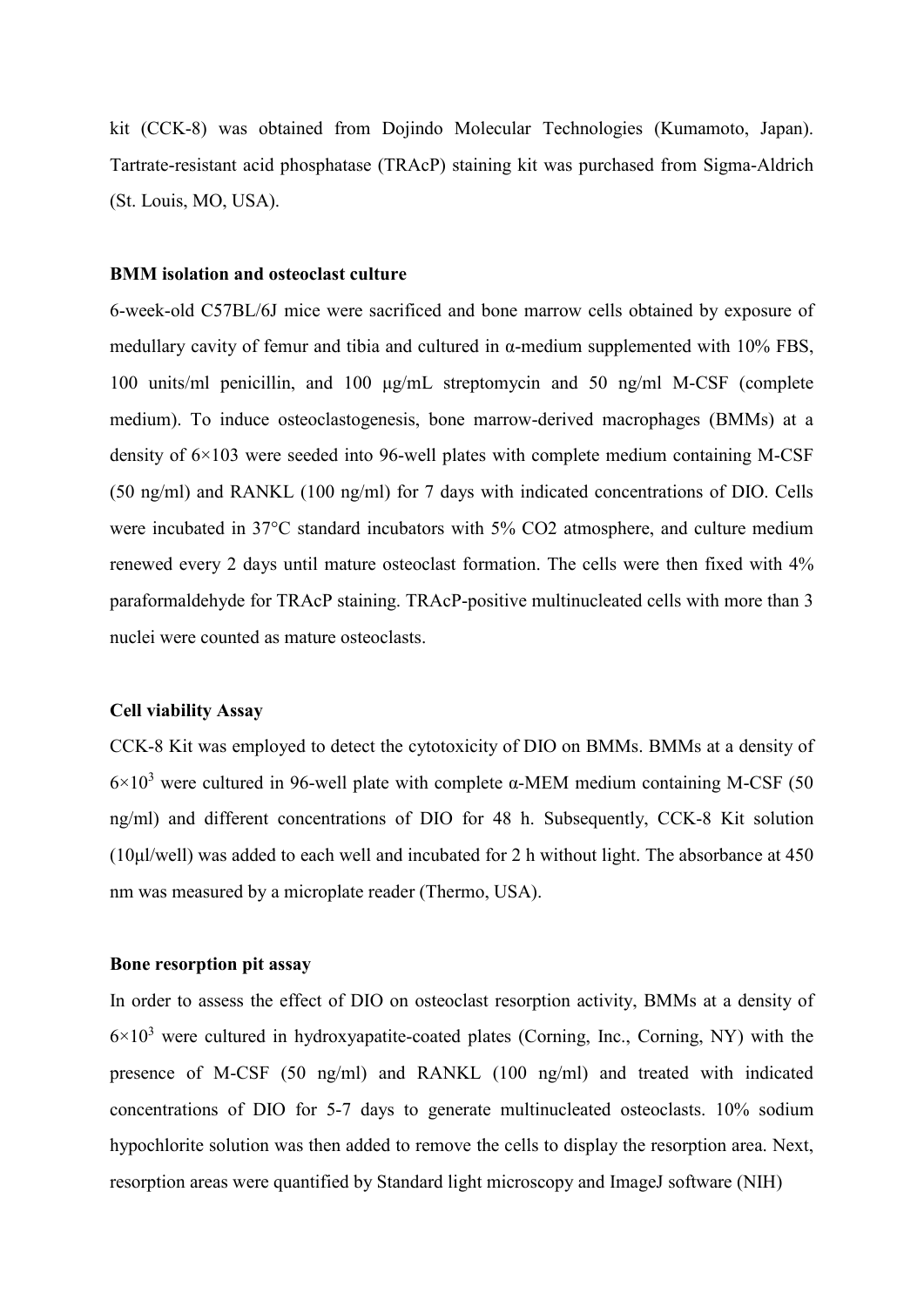kit (CCK-8) was obtained from Dojindo Molecular Technologies (Kumamoto, Japan). Tartrate-resistant acid phosphatase (TRAcP) staining kit was purchased from Sigma-Aldrich (St. Louis, MO, USA).

## **BMM isolation and osteoclast culture**

6-week-old C57BL/6J mice were sacrificed and bone marrow cells obtained by exposure of medullary cavity of femur and tibia and cultured in  $\alpha$ -medium supplemented with 10% FBS, 100 units/ml penicillin, and 100 μg/mL streptomycin and 50 ng/ml M-CSF (complete medium). To induce osteoclastogenesis, bone marrow-derived macrophages (BMMs) at a density of 6×103 were seeded into 96-well plates with complete medium containing M-CSF (50 ng/ml) and RANKL (100 ng/ml) for 7 days with indicated concentrations of DIO. Cells were incubated in 37°C standard incubators with 5% CO2 atmosphere, and culture medium renewed every 2 days until mature osteoclast formation. The cells were then fixed with 4% paraformaldehyde for TRAcP staining. TRAcP-positive multinucleated cells with more than 3 nuclei were counted as mature osteoclasts.

## **Cell viability Assay**

CCK-8 Kit was employed to detect the cytotoxicity of DIO on BMMs. BMMs at a density of  $6\times10^3$  were cultured in 96-well plate with complete  $\alpha$ -MEM medium containing M-CSF (50) ng/ml) and different concentrations of DIO for 48 h. Subsequently, CCK-8 Kit solution (10μl/well) was added to each well and incubated for 2 h without light. The absorbance at 450 nm was measured by a microplate reader (Thermo, USA).

## **Bone resorption pit assay**

In order to assess the effect of DIO on osteoclast resorption activity, BMMs at a density of  $6\times10^3$  were cultured in hydroxyapatite-coated plates (Corning, Inc., Corning, NY) with the presence of M-CSF (50 ng/ml) and RANKL (100 ng/ml) and treated with indicated concentrations of DIO for 5-7 days to generate multinucleated osteoclasts. 10% sodium hypochlorite solution was then added to remove the cells to display the resorption area. Next, resorption areas were quantified by Standard light microscopy and ImageJ software (NIH)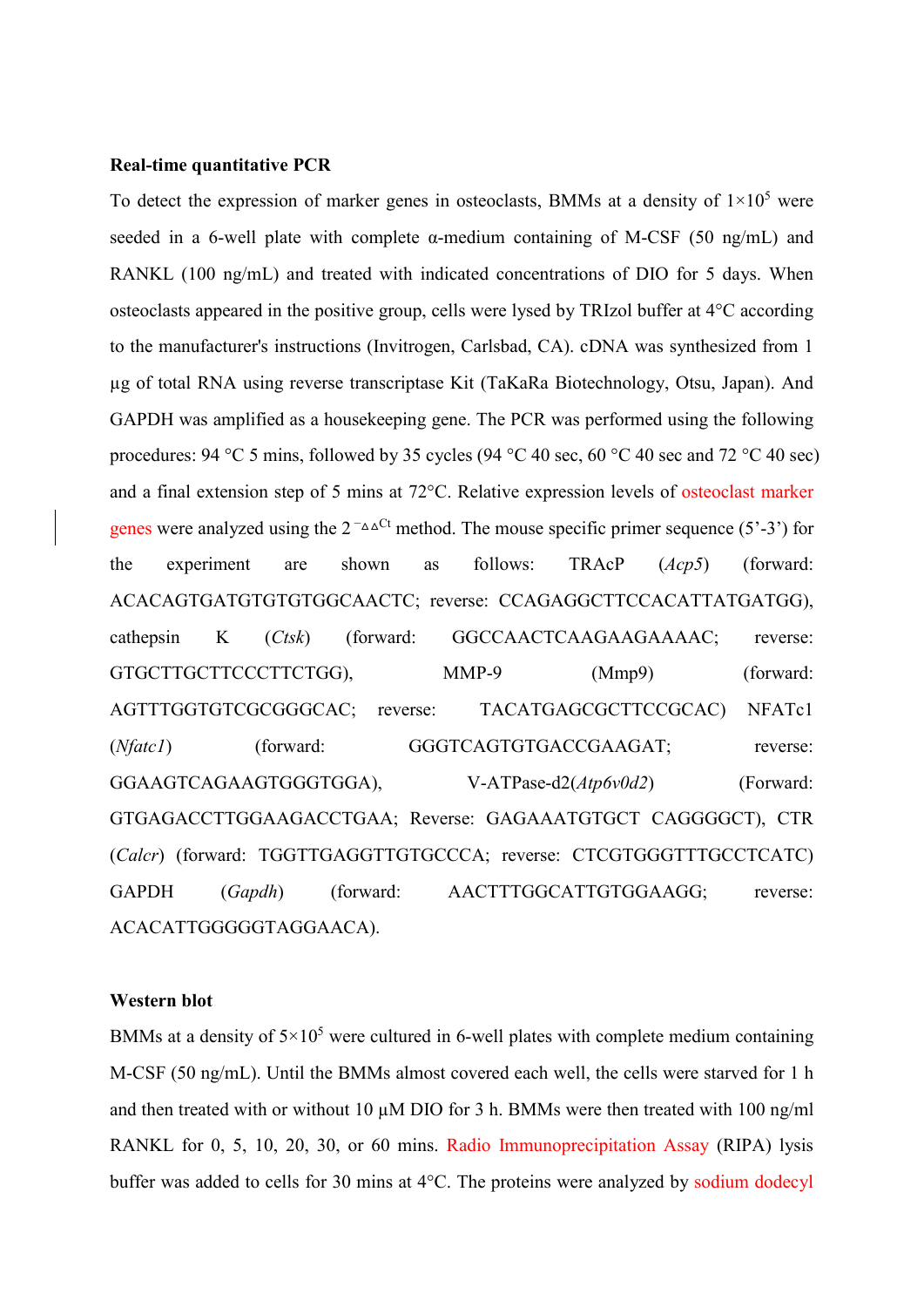#### **Real-time quantitative PCR**

To detect the expression of marker genes in osteoclasts, BMMs at a density of  $1\times10^5$  were seeded in a 6-well plate with complete  $\alpha$ -medium containing of M-CSF (50 ng/mL) and RANKL (100 ng/mL) and treated with indicated concentrations of DIO for 5 days. When osteoclasts appeared in the positive group, cells were lysed by TRIzol buffer at 4°C according to the manufacturer's instructions (Invitrogen, Carlsbad, CA). cDNA was synthesized from 1 µg of total RNA using reverse transcriptase Kit (TaKaRa Biotechnology, Otsu, Japan). And GAPDH was amplified as a housekeeping gene. The PCR was performed using the following procedures: 94 °C 5 mins, followed by 35 cycles (94 °C 40 sec, 60 °C 40 sec and 72 °C 40 sec) and a final extension step of 5 mins at 72°C. Relative expression levels of osteoclast marker genes were analyzed using the  $2^{-\Delta\Delta^C t}$  method. The mouse specific primer sequence (5'-3') for the experiment are shown as follows: TRAcP (*Acp5*) (forward: ACACAGTGATGTGTGTGGCAACTC; reverse: CCAGAGGCTTCCACATTATGATGG), cathepsin K (*Ctsk*) (forward: GGCCAACTCAAGAAGAAAAC; reverse: GTGCTTGCTTCCCTTCTGG), MMP-9 (Mmp9) (forward: AGTTTGGTGTCGCGGGCAC; reverse: TACATGAGCGCTTCCGCAC) NFATc1 (*Nfatc1*) (forward: GGGTCAGTGTGACCGAAGAT; reverse: GGAAGTCAGAAGTGGGTGGA), V-ATPase-d2(*Atp6v0d2*) (Forward: GTGAGACCTTGGAAGACCTGAA; Reverse: GAGAAATGTGCT CAGGGGCT), CTR (*Calcr*) (forward: TGGTTGAGGTTGTGCCCA; reverse: CTCGTGGGTTTGCCTCATC) GAPDH (*Gapdh*) (forward: AACTTTGGCATTGTGGAAGG; reverse: ACACATTGGGGGTAGGAACA).

## **Western blot**

BMMs at a density of  $5\times10^5$  were cultured in 6-well plates with complete medium containing M-CSF (50 ng/mL). Until the BMMs almost covered each well, the cells were starved for 1 h and then treated with or without 10  $\mu$ M DIO for 3 h. BMMs were then treated with 100 ng/ml RANKL for 0, 5, 10, 20, 30, or 60 mins. Radio Immunoprecipitation Assay (RIPA) lysis buffer was added to cells for 30 mins at 4°C. The proteins were analyzed by sodium dodecyl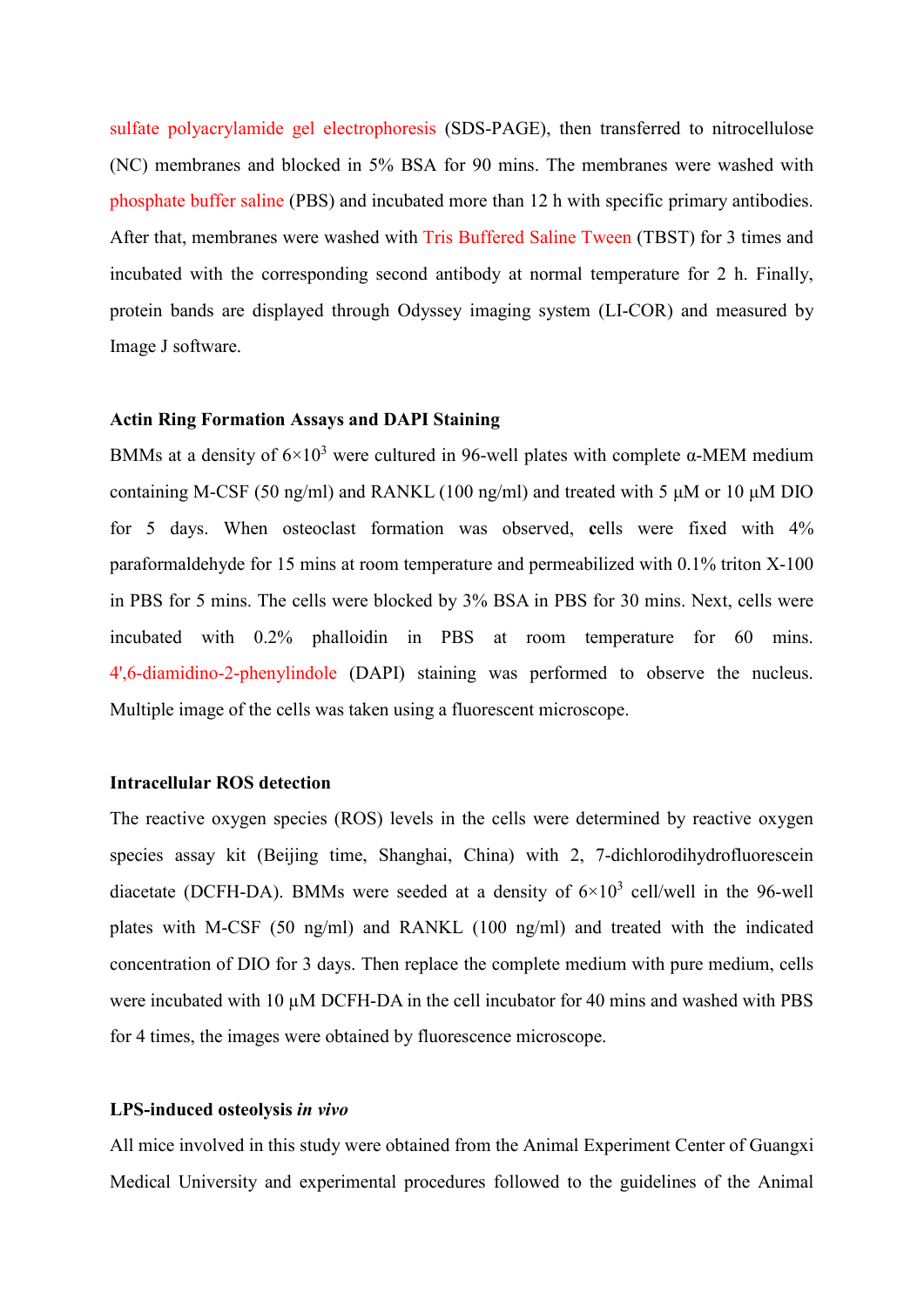sulfate polyacrylamide gel electrophoresis (SDS-PAGE), then transferred to nitrocellulose (NC) membranes and blocked in 5% BSA for 90 mins. The membranes were washed with phosphate buffer saline (PBS) and incubated more than 12 h with specific primary antibodies. After that, membranes were washed with Tris Buffered Saline Tween (TBST) for 3 times and incubated with the corresponding second antibody at normal temperature for 2 h. Finally, protein bands are displayed through Odyssey imaging system (LI-COR) and measured by Image J software.

## **Actin Ring Formation Assays and DAPI Staining**

BMMs at a density of  $6\times10^3$  were cultured in 96-well plates with complete  $\alpha$ -MEM medium containing M-CSF (50 ng/ml) and RANKL (100 ng/ml) and treated with 5 μM or 10 μM DIO for 5 days. When osteoclast formation was observed, **c**ells were fixed with 4% paraformaldehyde for 15 mins at room temperature and permeabilized with 0.1% triton X-100 in PBS for 5 mins. The cells were blocked by 3% BSA in PBS for 30 mins. Next, cells were incubated with 0.2% phalloidin in PBS at room temperature for 60 mins. 4',6-diamidino-2-phenylindole (DAPI) staining was performed to observe the nucleus. Multiple image of the cells was taken using a fluorescent microscope.

#### **Intracellular ROS detection**

The reactive oxygen species (ROS) levels in the cells were determined by reactive oxygen species assay kit (Beijing time, Shanghai, China) with 2, 7-dichlorodihydrofluorescein diacetate (DCFH-DA). BMMs were seeded at a density of  $6\times10^3$  cell/well in the 96-well plates with M-CSF (50 ng/ml) and RANKL (100 ng/ml) and treated with the indicated concentration of DIO for 3 days. Then replace the complete medium with pure medium, cells were incubated with 10  $\mu$ M DCFH-DA in the cell incubator for 40 mins and washed with PBS for 4 times, the images were obtained by fluorescence microscope.

## **LPS-induced osteolysis** *in vivo*

All mice involved in this study were obtained from the Animal Experiment Center of Guangxi Medical University and experimental procedures followed to the guidelines of the Animal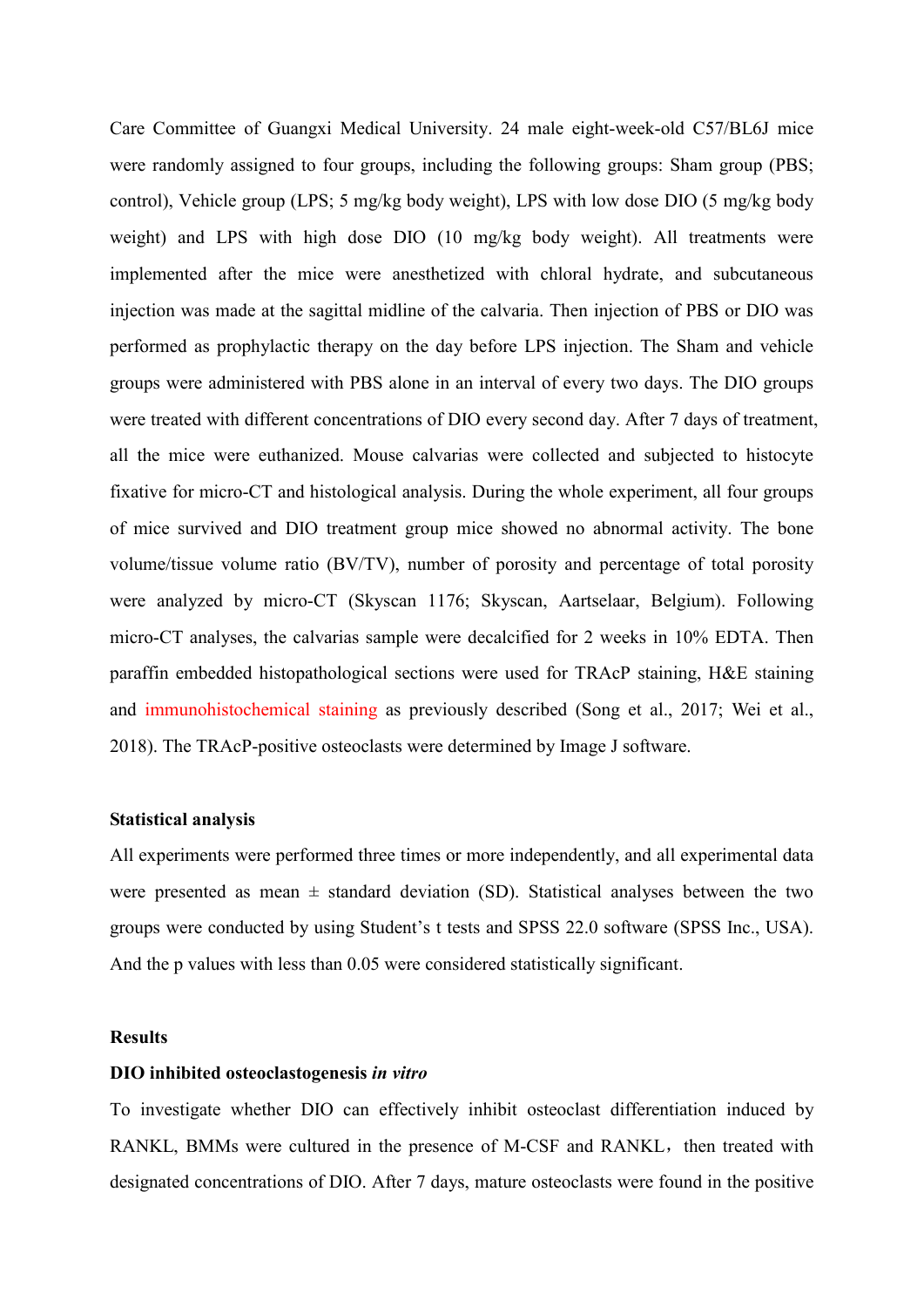Care Committee of Guangxi Medical University. 24 male eight-week-old C57/BL6J mice were randomly assigned to four groups, including the following groups: Sham group (PBS; control), Vehicle group (LPS; 5 mg/kg body weight), LPS with low dose DIO (5 mg/kg body weight) and LPS with high dose DIO (10 mg/kg body weight). All treatments were implemented after the mice were anesthetized with chloral hydrate, and subcutaneous injection was made at the sagittal midline of the calvaria. Then injection of PBS or DIO was performed as prophylactic therapy on the day before LPS injection. The Sham and vehicle groups were administered with PBS alone in an interval of every two days. The DIO groups were treated with different concentrations of DIO every second day. After 7 days of treatment, all the mice were euthanized. Mouse calvarias were collected and subjected to histocyte fixative for micro-CT and histological analysis. During the whole experiment, all four groups of mice survived and DIO treatment group mice showed no abnormal activity. The bone volume/tissue volume ratio (BV/TV), number of porosity and percentage of total porosity were analyzed by micro-CT (Skyscan 1176; Skyscan, Aartselaar, Belgium). Following micro-CT analyses, the calvarias sample were decalcified for 2 weeks in 10% EDTA. Then paraffin embedded histopathological sections were used for TRAcP staining, H&E staining and immunohistochemical staining as previously described [\(Song et al., 2017;](#page-16-3) [Wei et al.,](#page-16-4)  [2018\)](#page-16-4). The TRAcP-positive osteoclasts were determined by Image J software.

#### **Statistical analysis**

All experiments were performed three times or more independently, and all experimental data were presented as mean  $\pm$  standard deviation (SD). Statistical analyses between the two groups were conducted by using Student's t tests and SPSS 22.0 software (SPSS Inc., USA). And the p values with less than 0.05 were considered statistically significant.

## **Results**

## **DIO inhibited osteoclastogenesis** *in vitro*

To investigate whether DIO can effectively inhibit osteoclast differentiation induced by RANKL, BMMs were cultured in the presence of M-CSF and RANKL, then treated with designated concentrations of DIO. After 7 days, mature osteoclasts were found in the positive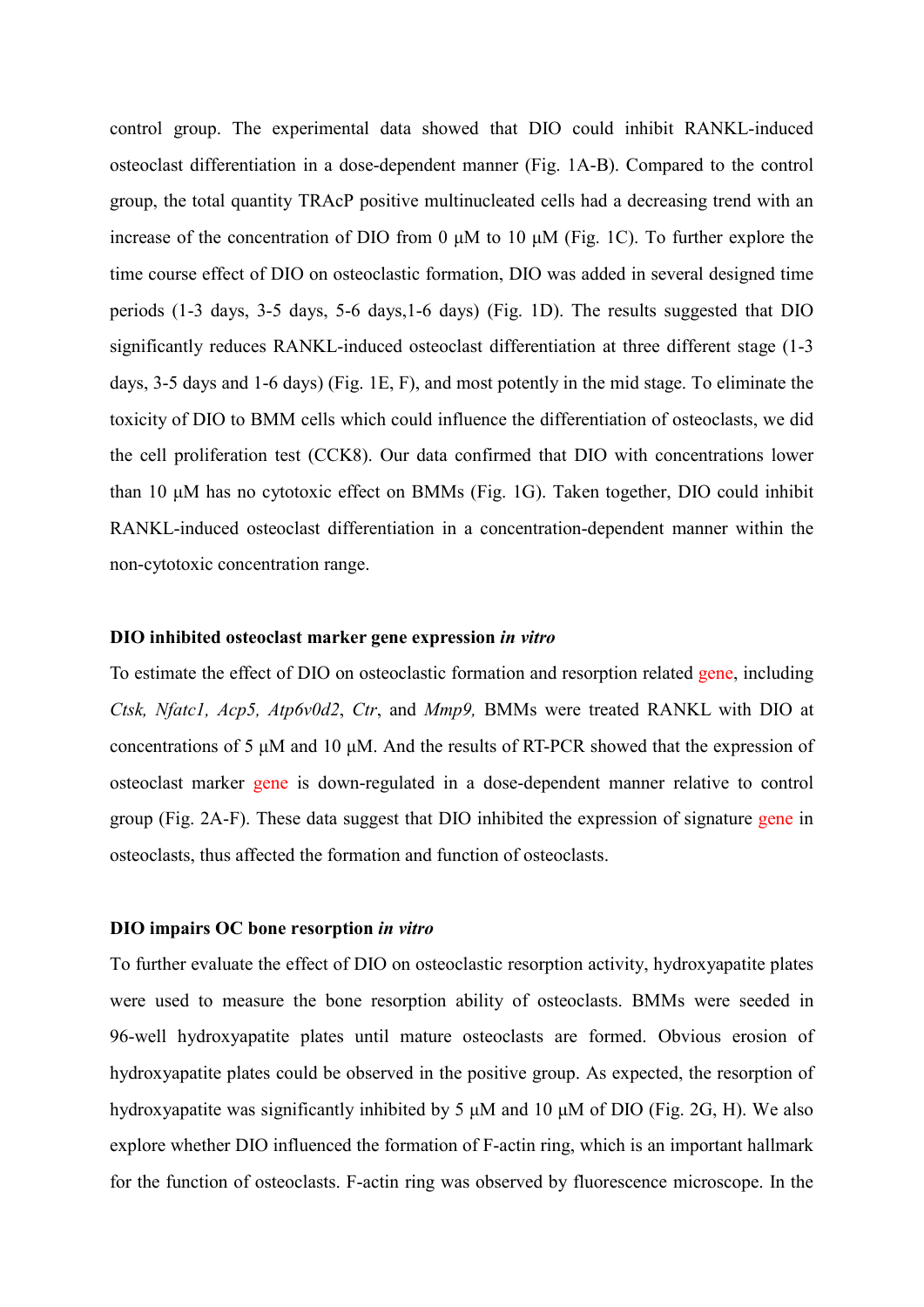control group. The experimental data showed that DIO could inhibit RANKL-induced osteoclast differentiation in a dose-dependent manner (Fig. 1A-B). Compared to the control group, the total quantity TRAcP positive multinucleated cells had a decreasing trend with an increase of the concentration of DIO from 0 μM to 10 μM (Fig. 1C). To further explore the time course effect of DIO on osteoclastic formation, DIO was added in several designed time periods (1-3 days, 3-5 days, 5-6 days,1-6 days) (Fig. 1D). The results suggested that DIO significantly reduces RANKL-induced osteoclast differentiation at three different stage (1-3 days, 3-5 days and 1-6 days) (Fig. 1E, F), and most potently in the mid stage. To eliminate the toxicity of DIO to BMM cells which could influence the differentiation of osteoclasts, we did the cell proliferation test (CCK8). Our data confirmed that DIO with concentrations lower than 10 μM has no cytotoxic effect on BMMs (Fig. 1G). Taken together, DIO could inhibit RANKL-induced osteoclast differentiation in a concentration-dependent manner within the non-cytotoxic concentration range.

## **DIO inhibited osteoclast marker gene expression** *in vitro*

To estimate the effect of DIO on osteoclastic formation and resorption related gene, including *Ctsk, Nfatc1, Acp5, Atp6v0d2*, *Ctr*, and *Mmp9,* BMMs were treated RANKL with DIO at concentrations of 5 μM and 10 μM. And the results of RT-PCR showed that the expression of osteoclast marker gene is down-regulated in a dose-dependent manner relative to control group (Fig. 2A-F). These data suggest that DIO inhibited the expression of signature gene in osteoclasts, thus affected the formation and function of osteoclasts.

#### **DIO impairs OC bone resorption** *in vitro*

To further evaluate the effect of DIO on osteoclastic resorption activity, hydroxyapatite plates were used to measure the bone resorption ability of osteoclasts. BMMs were seeded in 96-well hydroxyapatite plates until mature osteoclasts are formed. Obvious erosion of hydroxyapatite plates could be observed in the positive group. As expected, the resorption of hydroxyapatite was significantly inhibited by 5 μM and 10 μM of DIO (Fig. 2G, H). We also explore whether DIO influenced the formation of F-actin ring, which is an important hallmark for the function of osteoclasts. F-actin ring was observed by fluorescence microscope. In the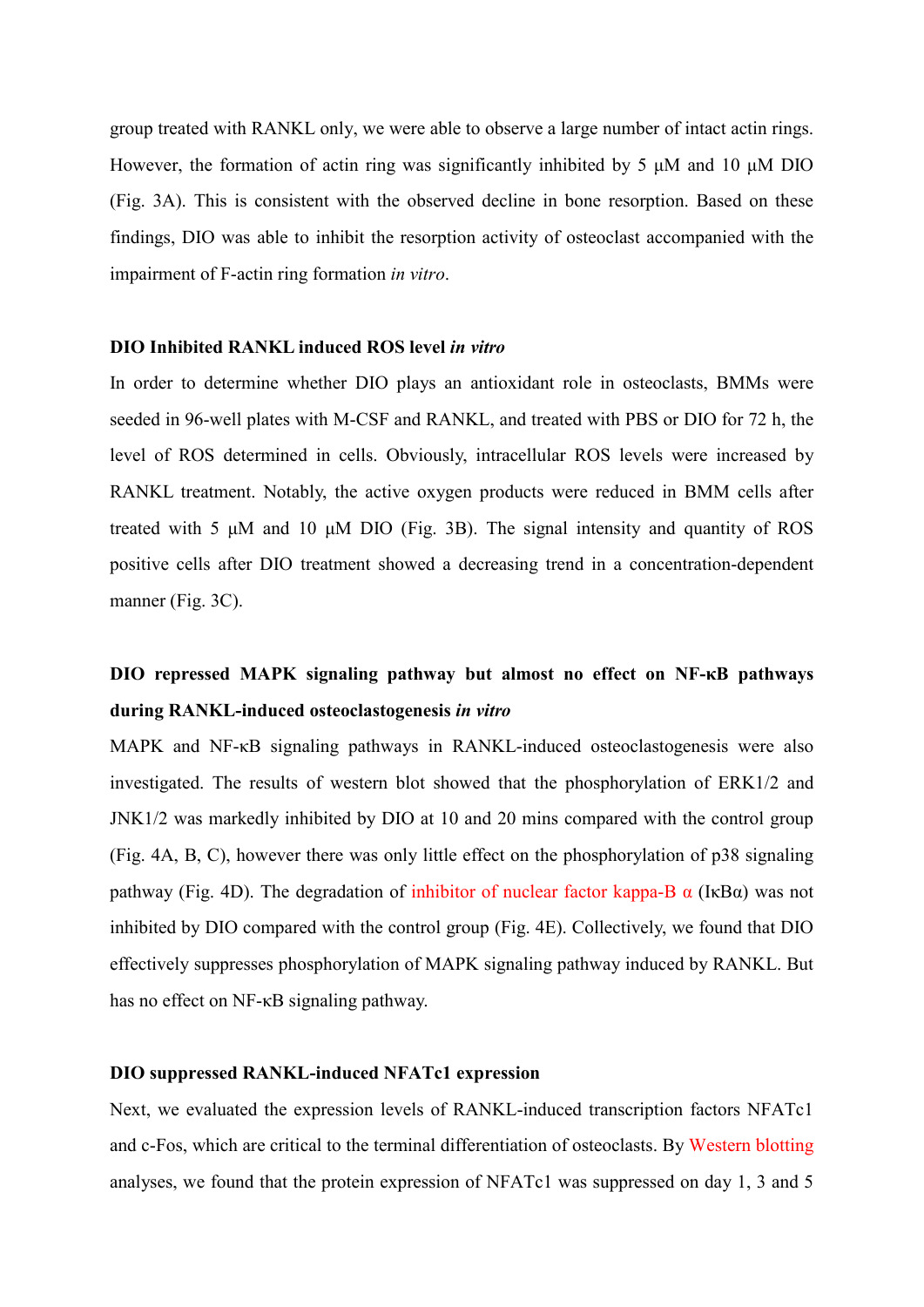group treated with RANKL only, we were able to observe a large number of intact actin rings. However, the formation of actin ring was significantly inhibited by 5 μM and 10 μM DIO (Fig. 3A). This is consistent with the observed decline in bone resorption. Based on these findings, DIO was able to inhibit the resorption activity of osteoclast accompanied with the impairment of F-actin ring formation *in vitro*.

#### **DIO Inhibited RANKL induced ROS level** *in vitro*

In order to determine whether DIO plays an antioxidant role in osteoclasts, BMMs were seeded in 96-well plates with M-CSF and RANKL, and treated with PBS or DIO for 72 h, the level of ROS determined in cells. Obviously, intracellular ROS levels were increased by RANKL treatment. Notably, the active oxygen products were reduced in BMM cells after treated with 5 μM and 10 μM DIO (Fig. 3B). The signal intensity and quantity of ROS positive cells after DIO treatment showed a decreasing trend in a concentration-dependent manner (Fig. 3C).

# **DIO repressed MAPK signaling pathway but almost no effect on NF-κB pathways during RANKL-induced osteoclastogenesis** *in vitro*

MAPK and NF-κB signaling pathways in RANKL-induced osteoclastogenesis were also investigated. The results of western blot showed that the phosphorylation of ERK1/2 and JNK1/2 was markedly inhibited by DIO at 10 and 20 mins compared with the control group (Fig. 4A, B, C), however there was only little effect on the phosphorylation of p38 signaling pathway (Fig. 4D). The degradation of inhibitor of nuclear factor kappa-B  $\alpha$  (IkB $\alpha$ ) was not inhibited by DIO compared with the control group (Fig. 4E). Collectively, we found that DIO effectively suppresses phosphorylation of MAPK signaling pathway induced by RANKL. But has no effect on NF-κB signaling pathway.

## **DIO suppressed RANKL-induced NFATc1 expression**

Next, we evaluated the expression levels of RANKL-induced transcription factors NFATc1 and c-Fos, which are critical to the terminal differentiation of osteoclasts. By Western blotting analyses, we found that the protein expression of NFATc1 was suppressed on day 1, 3 and 5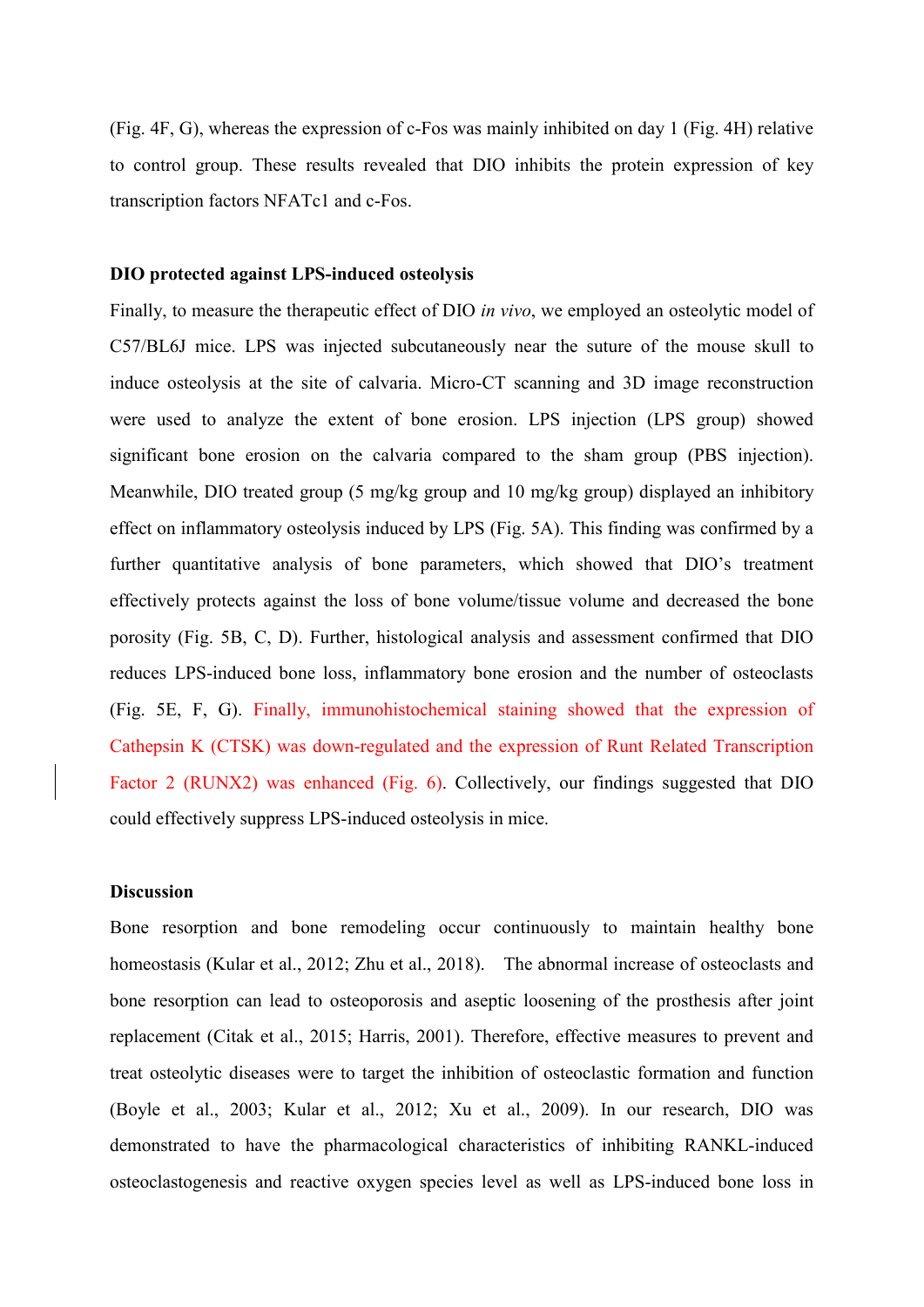(Fig. 4F, G), whereas the expression of c-Fos was mainly inhibited on day 1 (Fig. 4H) relative to control group. These results revealed that DIO inhibits the protein expression of key transcription factors NFATc1 and c-Fos.

## **DIO protected against LPS-induced osteolysis**

Finally, to measure the therapeutic effect of DIO *in vivo*, we employed an osteolytic model of C57/BL6J mice. LPS was injected subcutaneously near the suture of the mouse skull to induce osteolysis at the site of calvaria. Micro-CT scanning and 3D image reconstruction were used to analyze the extent of bone erosion. LPS injection (LPS group) showed significant bone erosion on the calvaria compared to the sham group (PBS injection). Meanwhile, DIO treated group (5 mg/kg group and 10 mg/kg group) displayed an inhibitory effect on inflammatory osteolysis induced by LPS (Fig. 5A). This finding was confirmed by a further quantitative analysis of bone parameters, which showed that DIO's treatment effectively protects against the loss of bone volume/tissue volume and decreased the bone porosity (Fig. 5B, C, D). Further, histological analysis and assessment confirmed that DIO reduces LPS-induced bone loss, inflammatory bone erosion and the number of osteoclasts (Fig. 5E, F, G). Finally, immunohistochemical staining showed that the expression of Cathepsin K (CTSK) was down-regulated and the expression of Runt Related Transcription Factor 2 (RUNX2) was enhanced (Fig. 6). Collectively, our findings suggested that DIO could effectively suppress LPS-induced osteolysis in mice.

# **Discussion**

Bone resorption and bone remodeling occur continuously to maintain healthy bone homeostasis [\(Kular et al., 2012;](#page-15-0) [Zhu et al., 2018\)](#page-16-5). The abnormal increase of osteoclasts and bone resorption can lead to osteoporosis and aseptic loosening of the prosthesis after joint replacement [\(Citak et al., 2015;](#page-14-8) [Harris, 2001\)](#page-14-9). Therefore, effective measures to prevent and treat osteolytic diseases were to target the inhibition of osteoclastic formation and function [\(Boyle et al., 2003;](#page-14-10) [Kular et al., 2012;](#page-15-0) [Xu et al., 2009\)](#page-16-1). In our research, DIO was demonstrated to have the pharmacological characteristics of inhibiting RANKL-induced osteoclastogenesis and reactive oxygen species level as well as LPS-induced bone loss in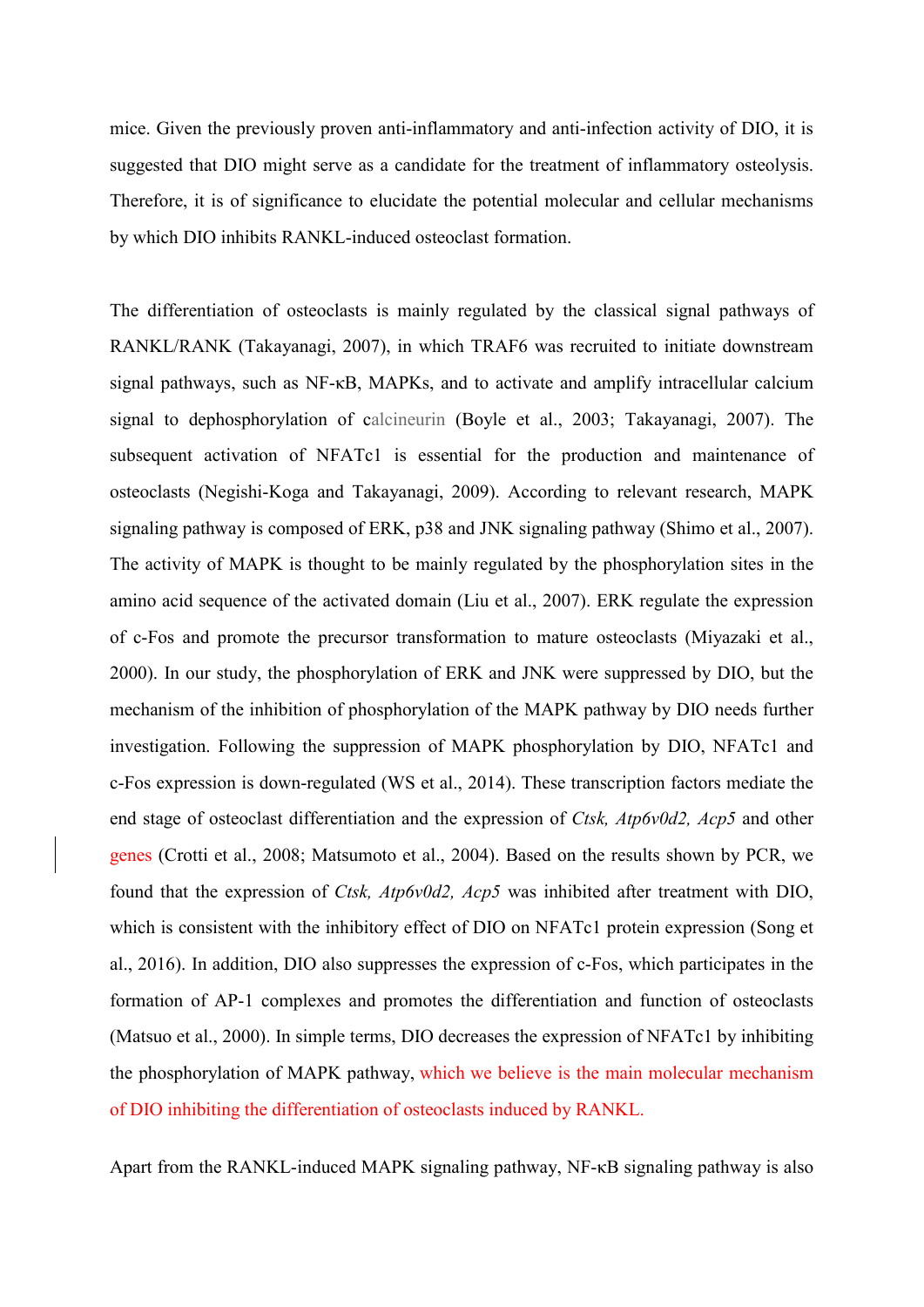mice. Given the previously proven anti-inflammatory and anti-infection activity of DIO, it is suggested that DIO might serve as a candidate for the treatment of inflammatory osteolysis. Therefore, it is of significance to elucidate the potential molecular and cellular mechanisms by which DIO inhibits RANKL-induced osteoclast formation.

The differentiation of osteoclasts is mainly regulated by the classical signal pathways of RANKL/RANK [\(Takayanagi, 2007\)](#page-16-6), in which TRAF6 was recruited to initiate downstream signal pathways, such as NF-κB, MAPKs, and to activate and amplify intracellular calcium signal to dephosphorylation of calcineurin [\(Boyle et al., 2003;](#page-14-10) [Takayanagi, 2007\)](#page-16-6). The subsequent activation of NFATc1 is essential for the production and maintenance of osteoclasts [\(Negishi-Koga and Takayanagi, 2009\)](#page-15-8). According to relevant research, MAPK signaling pathway is composed of ERK, p38 and JNK signaling pathway [\(Shimo et al., 2007\)](#page-15-9). The activity of MAPK is thought to be mainly regulated by the phosphorylation sites in the amino acid sequence of the activated domain [\(Liu et al., 2007\)](#page-15-10). ERK regulate the expression of c-Fos and promote the precursor transformation to mature osteoclasts [\(Miyazaki et al.,](#page-15-11)  [2000\)](#page-15-11). In our study, the phosphorylation of ERK and JNK were suppressed by DIO, but the mechanism of the inhibition of phosphorylation of the MAPK pathway by DIO needs further investigation. Following the suppression of MAPK phosphorylation by DIO, NFATc1 and c-Fos expression is down-regulated [\(WS et al., 2014\)](#page-16-7). These transcription factors mediate the end stage of osteoclast differentiation and the expression of *Ctsk, Atp6v0d2, Acp5* and other genes [\(Crotti et al., 2008;](#page-14-11) [Matsumoto et al., 2004\)](#page-15-12). Based on the results shown by PCR, we found that the expression of *Ctsk, Atp6v0d2, Acp5* was inhibited after treatment with DIO, which is consistent with the inhibitory effect of DIO on NFATc1 protein expression [\(Song et](#page-16-8)  [al., 2016\)](#page-16-8). In addition, DIO also suppresses the expression of c-Fos, which participates in the formation of AP-1 complexes and promotes the differentiation and function of osteoclasts [\(Matsuo et al., 2000\)](#page-15-13). In simple terms, DIO decreases the expression of NFATc1 by inhibiting the phosphorylation of MAPK pathway, which we believe is the main molecular mechanism of DIO inhibiting the differentiation of osteoclasts induced by RANKL.

Apart from the RANKL-induced MAPK signaling pathway, NF-κB signaling pathway is also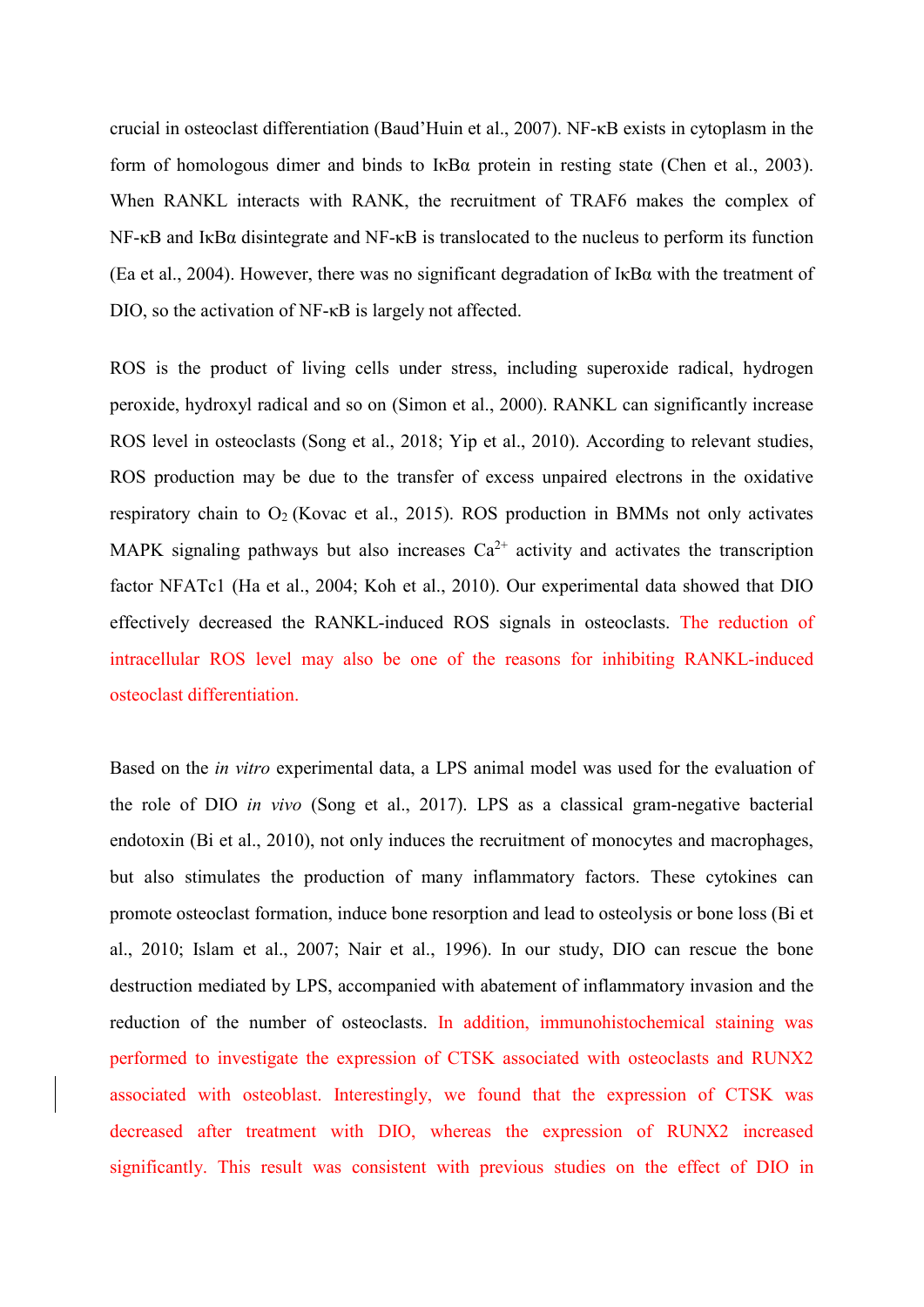crucial in osteoclast differentiation [\(Baud'Huin et al., 2007\)](#page-14-12). NF-κB exists in cytoplasm in the form of homologous dimer and binds to I $\kappa$ B $\alpha$  protein in resting state [\(Chen et al., 2003\)](#page-14-13). When RANKL interacts with RANK, the recruitment of TRAF6 makes the complex of NF-κB and IκBα disintegrate and NF-κB is translocated to the nucleus to perform its function [\(Ea et al., 2004\)](#page-14-14). However, there was no significant degradation of  $I \kappa B\alpha$  with the treatment of DIO, so the activation of NF-κB is largely not affected.

ROS is the product of living cells under stress, including superoxide radical, hydrogen peroxide, hydroxyl radical and so on [\(Simon et al., 2000\)](#page-15-14). RANKL can significantly increase ROS level in osteoclasts [\(Song et al., 2018;](#page-16-9) [Yip et al., 2010\)](#page-16-10). According to relevant studies, ROS production may be due to the transfer of excess unpaired electrons in the oxidative respiratory chain to  $O_2$  [\(Kovac et al., 2015\)](#page-15-15). ROS production in BMMs not only activates MAPK signaling pathways but also increases  $Ca^{2+}$  activity and activates the transcription factor NFATc1 [\(Ha et al., 2004;](#page-14-15) [Koh et al., 2010\)](#page-15-16). Our experimental data showed that DIO effectively decreased the RANKL-induced ROS signals in osteoclasts. The reduction of intracellular ROS level may also be one of the reasons for inhibiting RANKL-induced osteoclast differentiation.

Based on the *in vitro* experimental data, a LPS animal model was used for the evaluation of the role of DIO *in vivo* [\(Song et al., 2017\)](#page-16-3). LPS as a classical gram-negative bacterial endotoxin [\(Bi et al., 2010\)](#page-14-16), not only induces the recruitment of monocytes and macrophages, but also stimulates the production of many inflammatory factors. These cytokines can promote osteoclast formation, induce bone resorption and lead to osteolysis or bone loss [\(Bi et](#page-14-16)  [al., 2010;](#page-14-16) [Islam et al., 2007;](#page-14-4) [Nair et al., 1996\)](#page-15-17). In our study, DIO can rescue the bone destruction mediated by LPS, accompanied with abatement of inflammatory invasion and the reduction of the number of osteoclasts. In addition, immunohistochemical staining was performed to investigate the expression of CTSK associated with osteoclasts and RUNX2 associated with osteoblast. Interestingly, we found that the expression of CTSK was decreased after treatment with DIO, whereas the expression of RUNX2 increased significantly. This result was consistent with previous studies on the effect of DIO in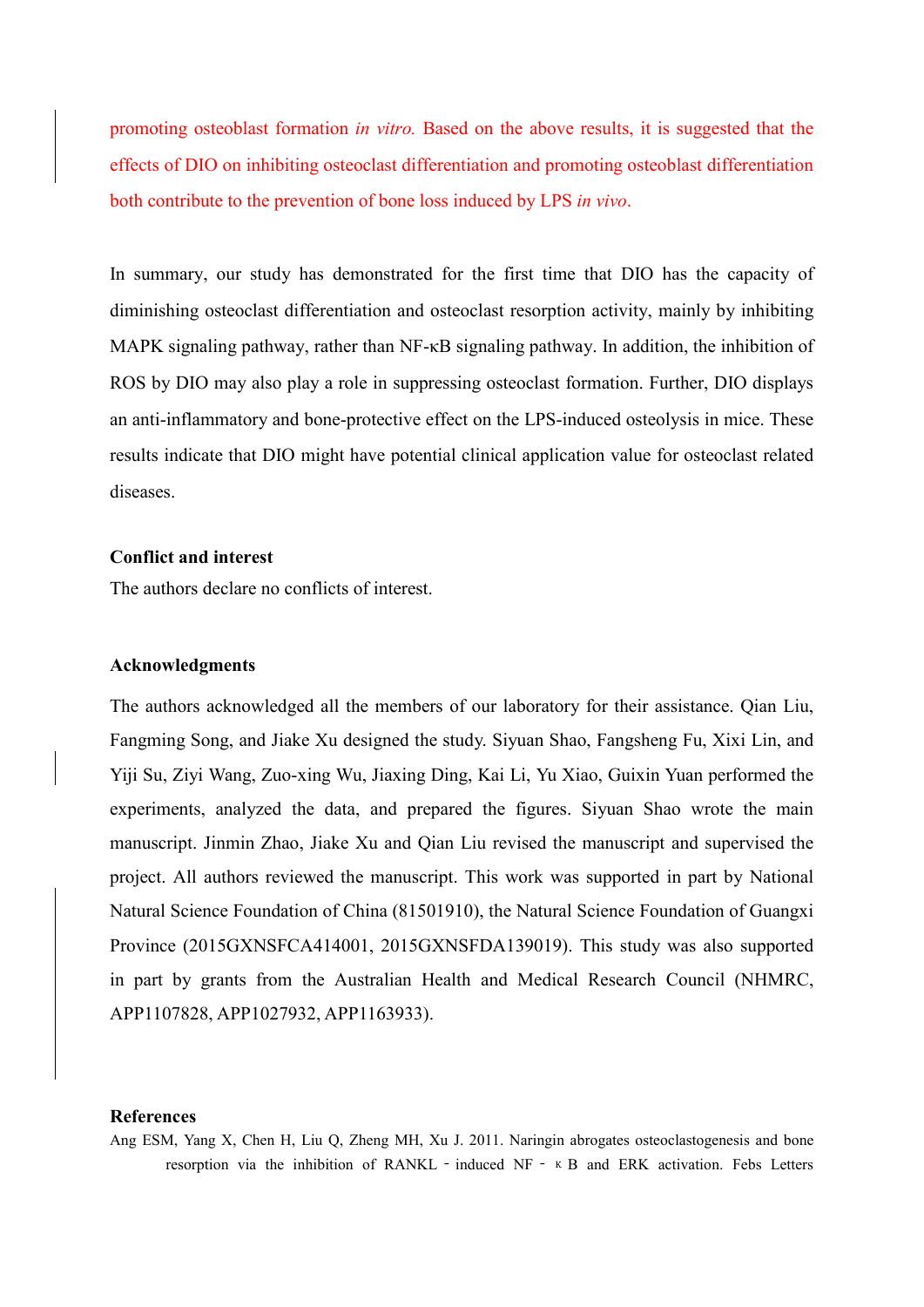promoting osteoblast formation *in vitro.* Based on the above results, it is suggested that the effects of DIO on inhibiting osteoclast differentiation and promoting osteoblast differentiation both contribute to the prevention of bone loss induced by LPS *in vivo*.

In summary, our study has demonstrated for the first time that DIO has the capacity of diminishing osteoclast differentiation and osteoclast resorption activity, mainly by inhibiting MAPK signaling pathway, rather than NF-κB signaling pathway. In addition, the inhibition of ROS by DIO may also play a role in suppressing osteoclast formation. Further, DIO displays an anti-inflammatory and bone-protective effect on the LPS-induced osteolysis in mice. These results indicate that DIO might have potential clinical application value for osteoclast related diseases.

## **Conflict and interest**

The authors declare no conflicts of interest.

#### **Acknowledgments**

The authors acknowledged all the members of our laboratory for their assistance. Qian Liu, Fangming Song, and Jiake Xu designed the study. Siyuan Shao, Fangsheng Fu, Xixi Lin, and Yiji Su, Ziyi Wang, Zuo-xing Wu, Jiaxing Ding, Kai Li, Yu Xiao, Guixin Yuan performed the experiments, analyzed the data, and prepared the figures. Siyuan Shao wrote the main manuscript. Jinmin Zhao, Jiake Xu and Qian Liu revised the manuscript and supervised the project. All authors reviewed the manuscript. This work was supported in part by National Natural Science Foundation of China (81501910), the Natural Science Foundation of Guangxi Province (2015GXNSFCA414001, 2015GXNSFDA139019). This study was also supported in part by grants from the Australian Health and Medical Research Council (NHMRC, APP1107828, APP1027932, APP1163933).

#### **References**

<span id="page-13-0"></span>Ang ESM, Yang X, Chen H, Liu Q, Zheng MH, Xu J. 2011. Naringin abrogates osteoclastogenesis and bone resorption via the inhibition of RANKL - induced NF -  $\kappa$  B and ERK activation. Febs Letters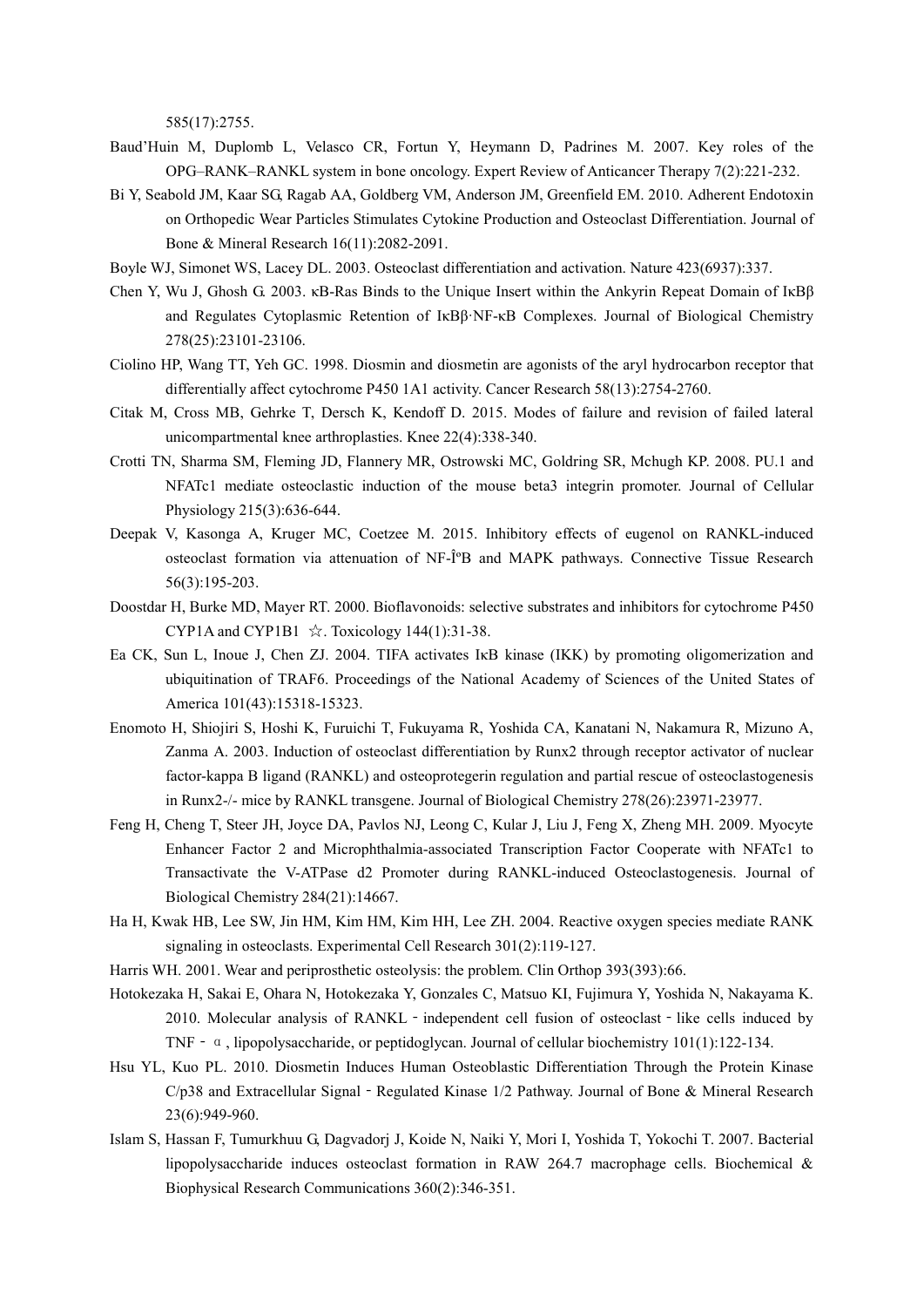585(17):2755.

- <span id="page-14-12"></span>Baud'Huin M, Duplomb L, Velasco CR, Fortun Y, Heymann D, Padrines M. 2007. Key roles of the OPG–RANK–RANKL system in bone oncology. Expert Review of Anticancer Therapy 7(2):221-232.
- <span id="page-14-16"></span>Bi Y, Seabold JM, Kaar SG, Ragab AA, Goldberg VM, Anderson JM, Greenfield EM. 2010. Adherent Endotoxin on Orthopedic Wear Particles Stimulates Cytokine Production and Osteoclast Differentiation. Journal of Bone & Mineral Research 16(11):2082-2091.
- <span id="page-14-10"></span>Boyle WJ, Simonet WS, Lacey DL. 2003. Osteoclast differentiation and activation. Nature 423(6937):337.
- <span id="page-14-13"></span>Chen Y, Wu J, Ghosh G. 2003. κB-Ras Binds to the Unique Insert within the Ankyrin Repeat Domain of IκBβ and Regulates Cytoplasmic Retention of IκBβ·NF-κB Complexes. Journal of Biological Chemistry 278(25):23101-23106.
- <span id="page-14-6"></span>Ciolino HP, Wang TT, Yeh GC. 1998. Diosmin and diosmetin are agonists of the aryl hydrocarbon receptor that differentially affect cytochrome P450 1A1 activity. Cancer Research 58(13):2754-2760.
- <span id="page-14-8"></span>Citak M, Cross MB, Gehrke T, Dersch K, Kendoff D. 2015. Modes of failure and revision of failed lateral unicompartmental knee arthroplasties. Knee 22(4):338-340.
- <span id="page-14-11"></span>Crotti TN, Sharma SM, Fleming JD, Flannery MR, Ostrowski MC, Goldring SR, Mchugh KP. 2008. PU.1 and NFATc1 mediate osteoclastic induction of the mouse beta3 integrin promoter. Journal of Cellular Physiology 215(3):636-644.
- <span id="page-14-1"></span>Deepak V, Kasonga A, Kruger MC, Coetzee M. 2015. Inhibitory effects of eugenol on RANKL-induced osteoclast formation via attenuation of NF-ΰB and MAPK pathways. Connective Tissue Research 56(3):195-203.
- <span id="page-14-5"></span>Doostdar H, Burke MD, Mayer RT. 2000. Bioflavonoids: selective substrates and inhibitors for cytochrome P450 CYP1A and CYP1B1  $\angle$ . Toxicology 144(1):31-38.
- <span id="page-14-14"></span>Ea CK, Sun L, Inoue J, Chen ZJ. 2004. TIFA activates IκB kinase (IKK) by promoting oligomerization and ubiquitination of TRAF6. Proceedings of the National Academy of Sciences of the United States of America 101(43):15318-15323.
- <span id="page-14-0"></span>Enomoto H, Shiojiri S, Hoshi K, Furuichi T, Fukuyama R, Yoshida CA, Kanatani N, Nakamura R, Mizuno A, Zanma A. 2003. Induction of osteoclast differentiation by Runx2 through receptor activator of nuclear factor-kappa B ligand (RANKL) and osteoprotegerin regulation and partial rescue of osteoclastogenesis in Runx2-/- mice by RANKL transgene. Journal of Biological Chemistry 278(26):23971-23977.
- <span id="page-14-2"></span>Feng H, Cheng T, Steer JH, Joyce DA, Pavlos NJ, Leong C, Kular J, Liu J, Feng X, Zheng MH. 2009. Myocyte Enhancer Factor 2 and Microphthalmia-associated Transcription Factor Cooperate with NFATc1 to Transactivate the V-ATPase d2 Promoter during RANKL-induced Osteoclastogenesis. Journal of Biological Chemistry 284(21):14667.
- <span id="page-14-15"></span>Ha H, Kwak HB, Lee SW, Jin HM, Kim HM, Kim HH, Lee ZH. 2004. Reactive oxygen species mediate RANK signaling in osteoclasts. Experimental Cell Research 301(2):119-127.
- <span id="page-14-9"></span>Harris WH. 2001. Wear and periprosthetic osteolysis: the problem. Clin Orthop 393(393):66.
- <span id="page-14-3"></span>Hotokezaka H, Sakai E, Ohara N, Hotokezaka Y, Gonzales C, Matsuo KI, Fujimura Y, Yoshida N, Nakayama K. 2010. Molecular analysis of RANKL - independent cell fusion of osteoclast - like cells induced by TNF‐α, lipopolysaccharide, or peptidoglycan. Journal of cellular biochemistry 101(1):122-134.
- <span id="page-14-7"></span>Hsu YL, Kuo PL. 2010. Diosmetin Induces Human Osteoblastic Differentiation Through the Protein Kinase  $C/p38$  and Extracellular Signal - Regulated Kinase  $1/2$  Pathway. Journal of Bone & Mineral Research 23(6):949-960.
- <span id="page-14-4"></span>Islam S, Hassan F, Tumurkhuu G, Dagvadorj J, Koide N, Naiki Y, Mori I, Yoshida T, Yokochi T. 2007. Bacterial lipopolysaccharide induces osteoclast formation in RAW 264.7 macrophage cells. Biochemical & Biophysical Research Communications 360(2):346-351.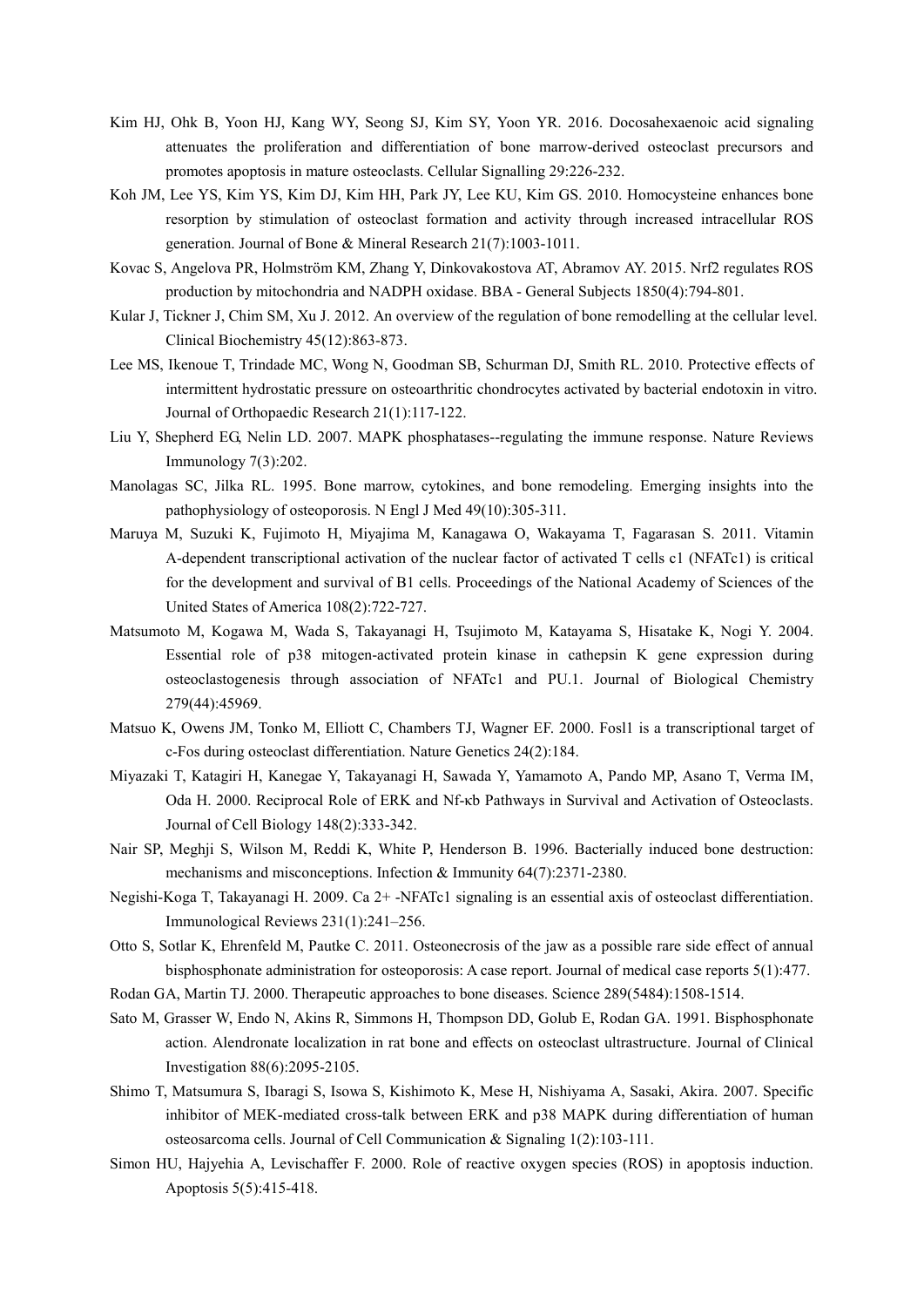- <span id="page-15-2"></span>Kim HJ, Ohk B, Yoon HJ, Kang WY, Seong SJ, Kim SY, Yoon YR. 2016. Docosahexaenoic acid signaling attenuates the proliferation and differentiation of bone marrow-derived osteoclast precursors and promotes apoptosis in mature osteoclasts. Cellular Signalling 29:226-232.
- <span id="page-15-16"></span>Koh JM, Lee YS, Kim YS, Kim DJ, Kim HH, Park JY, Lee KU, Kim GS. 2010. Homocysteine enhances bone resorption by stimulation of osteoclast formation and activity through increased intracellular ROS generation. Journal of Bone & Mineral Research 21(7):1003-1011.
- <span id="page-15-15"></span>Kovac S, Angelova PR, Holmström KM, Zhang Y, Dinkovakostova AT, Abramov AY. 2015. Nrf2 regulates ROS production by mitochondria and NADPH oxidase. BBA - General Subjects 1850(4):794-801.
- <span id="page-15-0"></span>Kular J, Tickner J, Chim SM, Xu J. 2012. An overview of the regulation of bone remodelling at the cellular level. Clinical Biochemistry 45(12):863-873.
- <span id="page-15-4"></span>Lee MS, Ikenoue T, Trindade MC, Wong N, Goodman SB, Schurman DJ, Smith RL. 2010. Protective effects of intermittent hydrostatic pressure on osteoarthritic chondrocytes activated by bacterial endotoxin in vitro. Journal of Orthopaedic Research 21(1):117-122.
- <span id="page-15-10"></span>Liu Y, Shepherd EG, Nelin LD. 2007. MAPK phosphatases--regulating the immune response. Nature Reviews Immunology 7(3):202.
- <span id="page-15-1"></span>Manolagas SC, Jilka RL. 1995. Bone marrow, cytokines, and bone remodeling. Emerging insights into the pathophysiology of osteoporosis. N Engl J Med 49(10):305-311.
- <span id="page-15-3"></span>Maruya M, Suzuki K, Fujimoto H, Miyajima M, Kanagawa O, Wakayama T, Fagarasan S. 2011. Vitamin A-dependent transcriptional activation of the nuclear factor of activated T cells c1 (NFATc1) is critical for the development and survival of B1 cells. Proceedings of the National Academy of Sciences of the United States of America 108(2):722-727.
- <span id="page-15-12"></span>Matsumoto M, Kogawa M, Wada S, Takayanagi H, Tsujimoto M, Katayama S, Hisatake K, Nogi Y. 2004. Essential role of p38 mitogen-activated protein kinase in cathepsin K gene expression during osteoclastogenesis through association of NFATc1 and PU.1. Journal of Biological Chemistry 279(44):45969.
- <span id="page-15-13"></span>Matsuo K, Owens JM, Tonko M, Elliott C, Chambers TJ, Wagner EF. 2000. Fosl1 is a transcriptional target of c-Fos during osteoclast differentiation. Nature Genetics 24(2):184.
- <span id="page-15-11"></span>Miyazaki T, Katagiri H, Kanegae Y, Takayanagi H, Sawada Y, Yamamoto A, Pando MP, Asano T, Verma IM, Oda H. 2000. Reciprocal Role of ERK and Nf-κb Pathways in Survival and Activation of Osteoclasts. Journal of Cell Biology 148(2):333-342.
- <span id="page-15-17"></span>Nair SP, Meghji S, Wilson M, Reddi K, White P, Henderson B. 1996. Bacterially induced bone destruction: mechanisms and misconceptions. Infection & Immunity 64(7):2371-2380.
- <span id="page-15-8"></span>Negishi-Koga T, Takayanagi H. 2009. Ca 2+ -NFATc1 signaling is an essential axis of osteoclast differentiation. Immunological Reviews 231(1):241–256.
- <span id="page-15-6"></span>Otto S, Sotlar K, Ehrenfeld M, Pautke C. 2011. Osteonecrosis of the jaw as a possible rare side effect of annual bisphosphonate administration for osteoporosis: A case report. Journal of medical case reports 5(1):477.
- <span id="page-15-7"></span>Rodan GA, Martin TJ. 2000. Therapeutic approaches to bone diseases. Science 289(5484):1508-1514.
- <span id="page-15-5"></span>Sato M, Grasser W, Endo N, Akins R, Simmons H, Thompson DD, Golub E, Rodan GA. 1991. Bisphosphonate action. Alendronate localization in rat bone and effects on osteoclast ultrastructure. Journal of Clinical Investigation 88(6):2095-2105.
- <span id="page-15-9"></span>Shimo T, Matsumura S, Ibaragi S, Isowa S, Kishimoto K, Mese H, Nishiyama A, Sasaki, Akira. 2007. Specific inhibitor of MEK-mediated cross-talk between ERK and p38 MAPK during differentiation of human osteosarcoma cells. Journal of Cell Communication & Signaling 1(2):103-111.
- <span id="page-15-14"></span>Simon HU, Hajyehia A, Levischaffer F. 2000. Role of reactive oxygen species (ROS) in apoptosis induction. Apoptosis 5(5):415-418.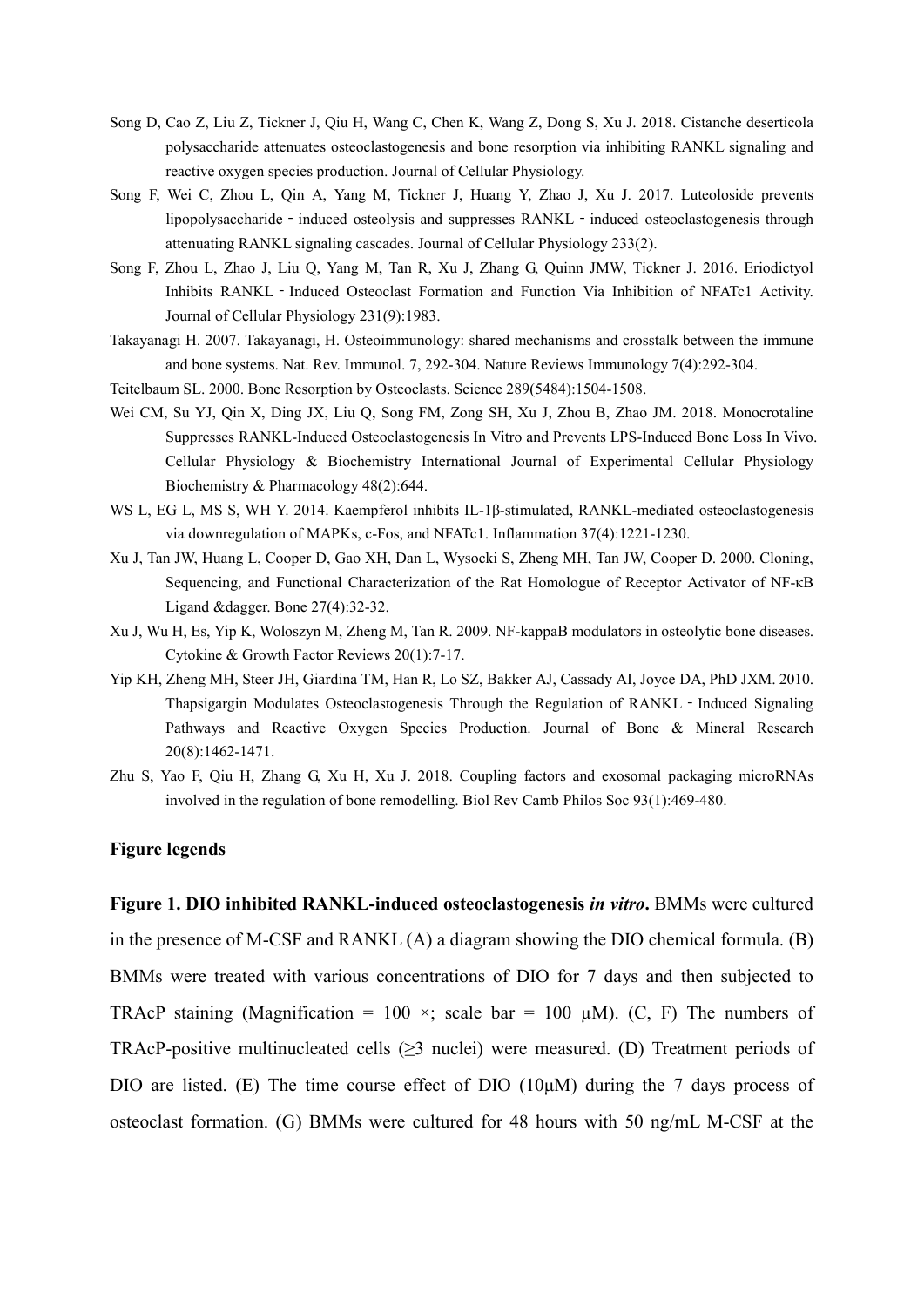- <span id="page-16-9"></span>Song D, Cao Z, Liu Z, Tickner J, Qiu H, Wang C, Chen K, Wang Z, Dong S, Xu J. 2018. Cistanche deserticola polysaccharide attenuates osteoclastogenesis and bone resorption via inhibiting RANKL signaling and reactive oxygen species production. Journal of Cellular Physiology.
- <span id="page-16-3"></span>Song F, Wei C, Zhou L, Qin A, Yang M, Tickner J, Huang Y, Zhao J, Xu J. 2017. Luteoloside prevents lipopolysaccharide - induced osteolysis and suppresses RANKL - induced osteoclastogenesis through attenuating RANKL signaling cascades. Journal of Cellular Physiology 233(2).
- <span id="page-16-8"></span>Song F, Zhou L, Zhao J, Liu Q, Yang M, Tan R, Xu J, Zhang G, Quinn JMW, Tickner J. 2016. Eriodictyol Inhibits RANKL - Induced Osteoclast Formation and Function Via Inhibition of NFATc1 Activity. Journal of Cellular Physiology 231(9):1983.
- <span id="page-16-6"></span>Takayanagi H. 2007. Takayanagi, H. Osteoimmunology: shared mechanisms and crosstalk between the immune and bone systems. Nat. Rev. Immunol. 7, 292-304. Nature Reviews Immunology 7(4):292-304.
- <span id="page-16-0"></span>Teitelbaum SL. 2000. Bone Resorption by Osteoclasts. Science 289(5484):1504-1508.
- <span id="page-16-4"></span>Wei CM, Su YJ, Qin X, Ding JX, Liu Q, Song FM, Zong SH, Xu J, Zhou B, Zhao JM. 2018. Monocrotaline Suppresses RANKL-Induced Osteoclastogenesis In Vitro and Prevents LPS-Induced Bone Loss In Vivo. Cellular Physiology & Biochemistry International Journal of Experimental Cellular Physiology Biochemistry & Pharmacology 48(2):644.
- <span id="page-16-7"></span>WS L, EG L, MS S, WH Y. 2014. Kaempferol inhibits IL-1β-stimulated, RANKL-mediated osteoclastogenesis via downregulation of MAPKs, c-Fos, and NFATc1. Inflammation 37(4):1221-1230.
- <span id="page-16-2"></span>Xu J, Tan JW, Huang L, Cooper D, Gao XH, Dan L, Wysocki S, Zheng MH, Tan JW, Cooper D. 2000. Cloning, Sequencing, and Functional Characterization of the Rat Homologue of Receptor Activator of NF-κB Ligand &dagger. Bone 27(4):32-32.
- <span id="page-16-1"></span>Xu J, Wu H, Es, Yip K, Woloszyn M, Zheng M, Tan R. 2009. NF-kappaB modulators in osteolytic bone diseases. Cytokine & Growth Factor Reviews 20(1):7-17.
- <span id="page-16-10"></span>Yip KH, Zheng MH, Steer JH, Giardina TM, Han R, Lo SZ, Bakker AJ, Cassady AI, Joyce DA, PhD JXM. 2010. Thapsigargin Modulates Osteoclastogenesis Through the Regulation of RANKL - Induced Signaling Pathways and Reactive Oxygen Species Production. Journal of Bone & Mineral Research 20(8):1462-1471.
- <span id="page-16-5"></span>Zhu S, Yao F, Qiu H, Zhang G, Xu H, Xu J. 2018. Coupling factors and exosomal packaging microRNAs involved in the regulation of bone remodelling. Biol Rev Camb Philos Soc 93(1):469-480.

## **Figure legends**

**Figure 1. DIO inhibited RANKL-induced osteoclastogenesis** *in vitro***.** BMMs were cultured in the presence of M-CSF and RANKL (A) a diagram showing the DIO chemical formula. (B) BMMs were treated with various concentrations of DIO for 7 days and then subjected to TRAcP staining (Magnification = 100  $\times$ ; scale bar = 100  $\mu$ M). (C, F) The numbers of TRAcP-positive multinucleated cells  $(\geq)$  nuclei) were measured. (D) Treatment periods of DIO are listed. (E) The time course effect of DIO  $(10\mu)$  during the 7 days process of osteoclast formation. (G) BMMs were cultured for 48 hours with 50 ng/mL M-CSF at the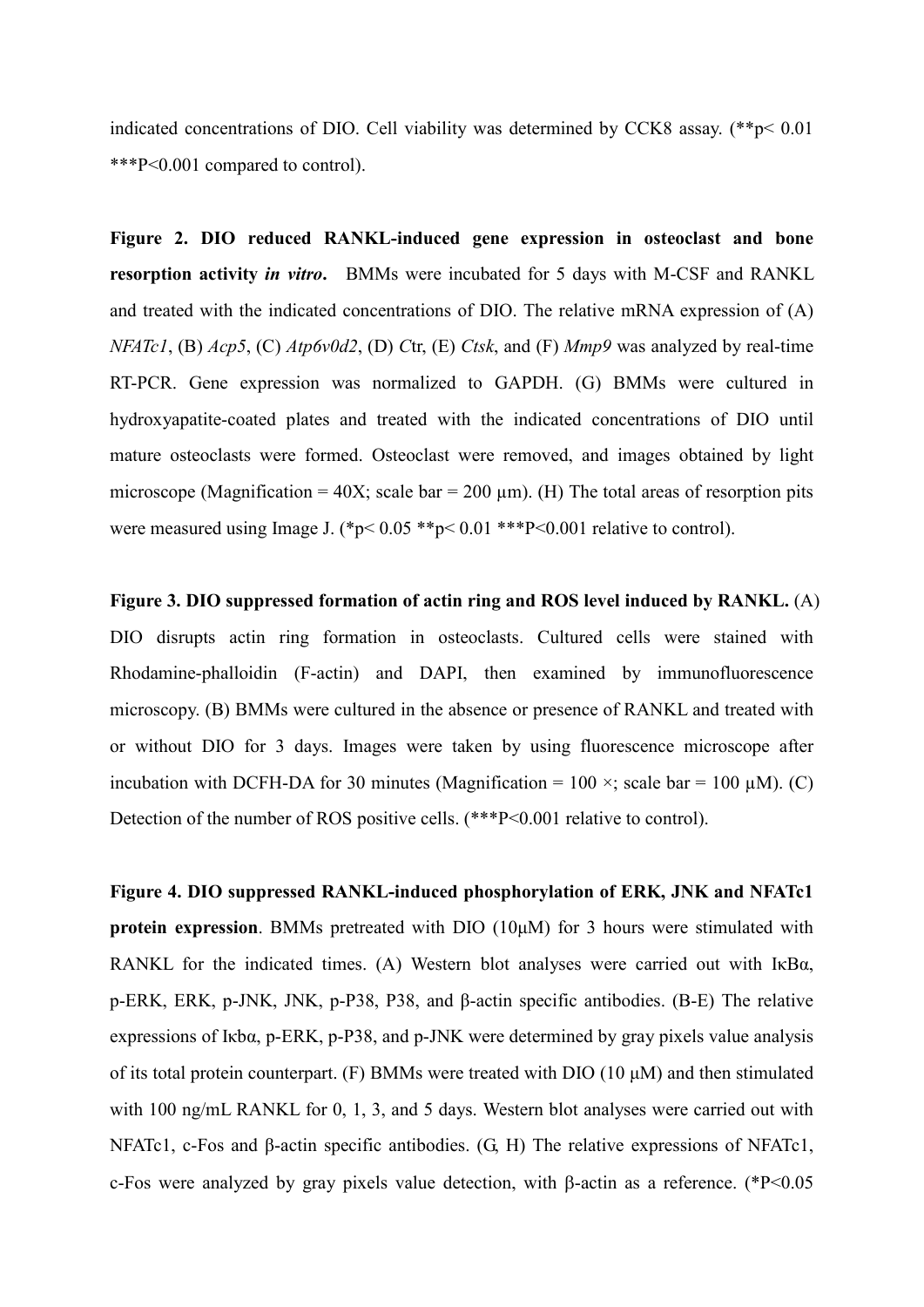indicated concentrations of DIO. Cell viability was determined by CCK8 assay. (\*\*p< 0.01 \*\*\*P<0.001 compared to control).

**Figure 2. DIO reduced RANKL-induced gene expression in osteoclast and bone resorption activity** *in vitro***.** BMMs were incubated for 5 days with M-CSF and RANKL and treated with the indicated concentrations of DIO. The relative mRNA expression of (A) *NFATc1*, (B) *Acp5*, (C) *Atp6v0d2*, (D) *C*tr, (E) *Ctsk*, and (F) *Mmp9* was analyzed by real-time RT-PCR. Gene expression was normalized to GAPDH. (G) BMMs were cultured in hydroxyapatite-coated plates and treated with the indicated concentrations of DIO until mature osteoclasts were formed. Osteoclast were removed, and images obtained by light microscope (Magnification =  $40X$ ; scale bar =  $200 \mu m$ ). (H) The total areas of resorption pits were measured using Image J. (\*p<  $0.05$  \*\*p<  $0.01$  \*\*\*P<0.001 relative to control).

**Figure 3. DIO suppressed formation of actin ring and ROS level induced by RANKL.** (A) DIO disrupts actin ring formation in osteoclasts. Cultured cells were stained with Rhodamine-phalloidin (F-actin) and DAPI, then examined by immunofluorescence microscopy. (B) BMMs were cultured in the absence or presence of RANKL and treated with or without DIO for 3 days. Images were taken by using fluorescence microscope after incubation with DCFH-DA for 30 minutes (Magnification =  $100 \times$ ; scale bar =  $100 \mu$ M). (C) Detection of the number of ROS positive cells. (\*\*\*P<0.001 relative to control).

**Figure 4. DIO suppressed RANKL-induced phosphorylation of ERK, JNK and NFATc1 protein expression**. BMMs pretreated with DIO (10μM) for 3 hours were stimulated with RANKL for the indicated times. (A) Western blot analyses were carried out with IκBα, p-ERK, ERK, p-JNK, JNK, p-P38, P38, and β-actin specific antibodies. (B-E) The relative expressions of Iκbα, p-ERK, p-P38, and p-JNK were determined by gray pixels value analysis of its total protein counterpart. (F) BMMs were treated with DIO (10 μM) and then stimulated with 100 ng/mL RANKL for 0, 1, 3, and 5 days. Western blot analyses were carried out with NFATc1, c-Fos and β-actin specific antibodies. (G, H) The relative expressions of NFATc1, c-Fos were analyzed by gray pixels value detection, with β-actin as a reference. (\*P<0.05